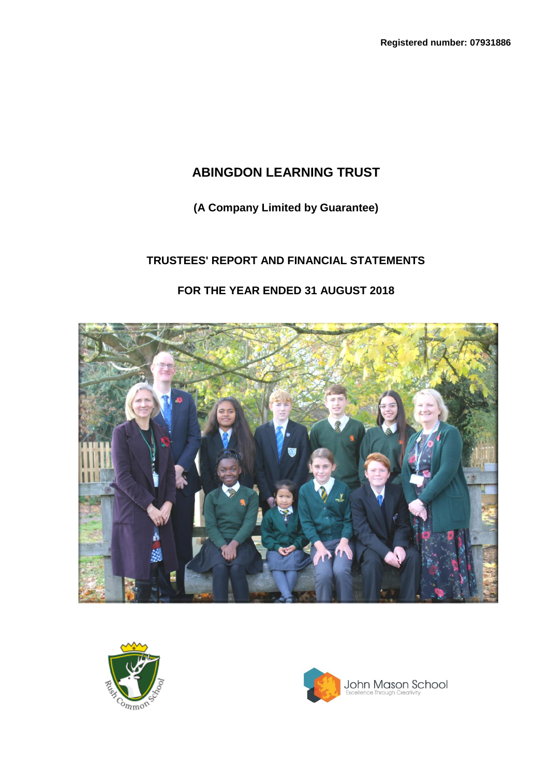**(A Company Limited by Guarantee)**

# **TRUSTEES' REPORT AND FINANCIAL STATEMENTS**

# **FOR THE YEAR ENDED 31 AUGUST 2018**





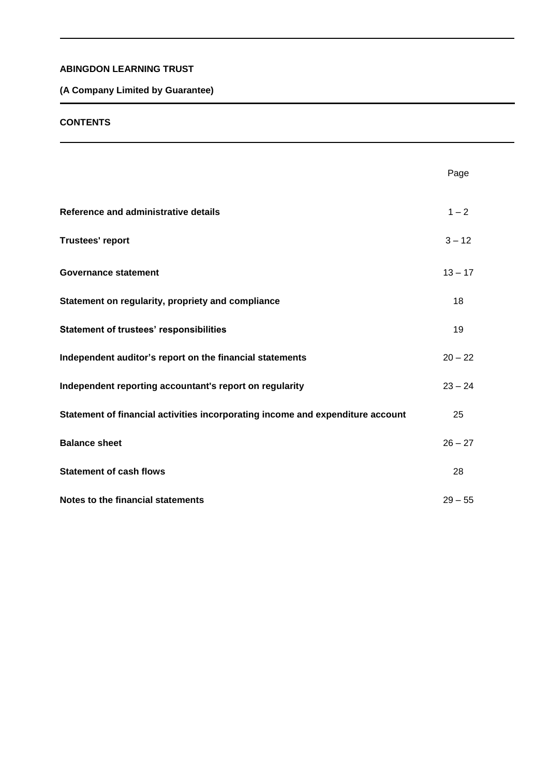# **(A Company Limited by Guarantee)**

#### **CONTENTS**

|                                                                                | Page      |
|--------------------------------------------------------------------------------|-----------|
| Reference and administrative details                                           | $1 - 2$   |
| <b>Trustees' report</b>                                                        | $3 - 12$  |
| <b>Governance statement</b>                                                    | $13 - 17$ |
| Statement on regularity, propriety and compliance                              | 18        |
| <b>Statement of trustees' responsibilities</b>                                 | 19        |
| Independent auditor's report on the financial statements                       | $20 - 22$ |
| Independent reporting accountant's report on regularity                        | $23 - 24$ |
| Statement of financial activities incorporating income and expenditure account | 25        |
| <b>Balance sheet</b>                                                           | $26 - 27$ |
| <b>Statement of cash flows</b>                                                 | 28        |
| Notes to the financial statements                                              | $29 - 55$ |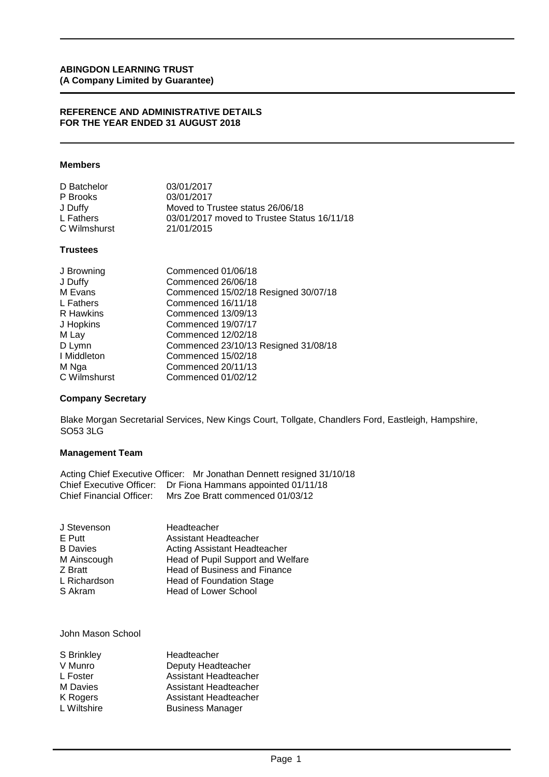#### **REFERENCE AND ADMINISTRATIVE DETAILS FOR THE YEAR ENDED 31 AUGUST 2018**

#### **Members**

| 03/01/2017                                  |
|---------------------------------------------|
| 03/01/2017                                  |
| Moved to Trustee status 26/06/18            |
| 03/01/2017 moved to Trustee Status 16/11/18 |
| 21/01/2015                                  |
|                                             |

### **Trustees**

| J Browning   | Commenced 01/06/18                   |
|--------------|--------------------------------------|
| J Duffy      | Commenced 26/06/18                   |
| M Evans      | Commenced 15/02/18 Resigned 30/07/18 |
| L Fathers    | Commenced 16/11/18                   |
| R Hawkins    | Commenced 13/09/13                   |
| J Hopkins    | Commenced 19/07/17                   |
| M Lay        | Commenced 12/02/18                   |
| D Lymn       | Commenced 23/10/13 Resigned 31/08/18 |
| I Middleton  | Commenced 15/02/18                   |
| M Nga        | Commenced 20/11/13                   |
| C Wilmshurst | Commenced 01/02/12                   |

#### **Company Secretary**

Blake Morgan Secretarial Services, New Kings Court, Tollgate, Chandlers Ford, Eastleigh, Hampshire, SO53 3LG

# **Management Team**

| Acting Chief Executive Officer: Mr Jonathan Dennett resigned 31/10/18 |
|-----------------------------------------------------------------------|
| Chief Executive Officer: Dr Fiona Hammans appointed 01/11/18          |
| Chief Financial Officer: Mrs Zoe Bratt commenced 01/03/12             |

| Headteacher                       |
|-----------------------------------|
| Assistant Headteacher             |
| Acting Assistant Headteacher      |
| Head of Pupil Support and Welfare |
| Head of Business and Finance      |
| Head of Foundation Stage          |
| <b>Head of Lower School</b>       |
|                                   |

John Mason School

| S Brinkley  | Headteacher             |
|-------------|-------------------------|
| V Munro     | Deputy Headteacher      |
| L Foster    | Assistant Headteacher   |
| M Davies    | Assistant Headteacher   |
| K Rogers    | Assistant Headteacher   |
| L Wiltshire | <b>Business Manager</b> |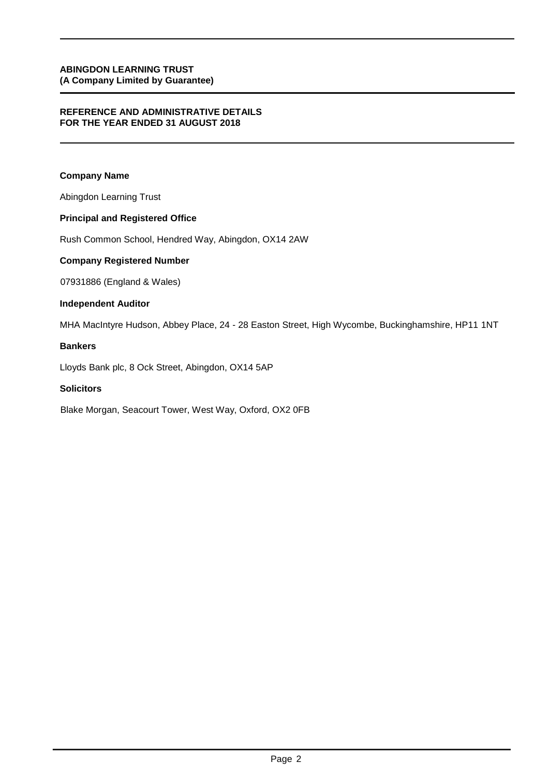#### **REFERENCE AND ADMINISTRATIVE DETAILS FOR THE YEAR ENDED 31 AUGUST 2018**

### **Company Name**

Abingdon Learning Trust

# **Principal and Registered Office**

Rush Common School, Hendred Way, Abingdon, OX14 2AW

### **Company Registered Number**

07931886 (England & Wales)

### **Independent Auditor**

MHA MacIntyre Hudson, Abbey Place, 24 - 28 Easton Street, High Wycombe, Buckinghamshire, HP11 1NT

### **Bankers**

Lloyds Bank plc, 8 Ock Street, Abingdon, OX14 5AP

#### **Solicitors**

Blake Morgan, Seacourt Tower, West Way, Oxford, OX2 0FB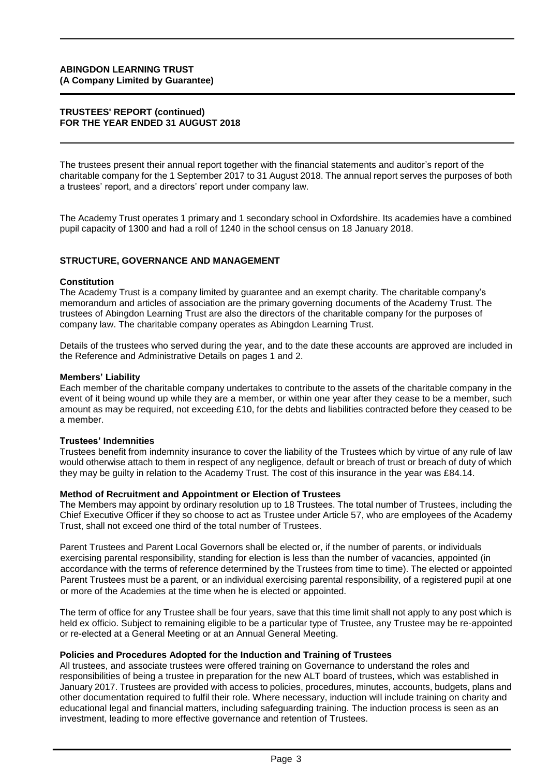#### **TRUSTEES' REPORT (continued) FOR THE YEAR ENDED 31 AUGUST 2018**

The trustees present their annual report together with the financial statements and auditor's report of the charitable company for the 1 September 2017 to 31 August 2018. The annual report serves the purposes of both a trustees' report, and a directors' report under company law.

The Academy Trust operates 1 primary and 1 secondary school in Oxfordshire. Its academies have a combined pupil capacity of 1300 and had a roll of 1240 in the school census on 18 January 2018.

#### **STRUCTURE, GOVERNANCE AND MANAGEMENT**

#### **Constitution**

The Academy Trust is a company limited by guarantee and an exempt charity. The charitable company's memorandum and articles of association are the primary governing documents of the Academy Trust. The trustees of Abingdon Learning Trust are also the directors of the charitable company for the purposes of company law. The charitable company operates as Abingdon Learning Trust.

Details of the trustees who served during the year, and to the date these accounts are approved are included in the Reference and Administrative Details on pages 1 and 2.

#### **Members' Liability**

Each member of the charitable company undertakes to contribute to the assets of the charitable company in the event of it being wound up while they are a member, or within one year after they cease to be a member, such amount as may be required, not exceeding £10, for the debts and liabilities contracted before they ceased to be a member.

#### **Trustees' Indemnities**

Trustees benefit from indemnity insurance to cover the liability of the Trustees which by virtue of any rule of law would otherwise attach to them in respect of any negligence, default or breach of trust or breach of duty of which they may be guilty in relation to the Academy Trust. The cost of this insurance in the year was £84.14.

#### **Method of Recruitment and Appointment or Election of Trustees**

The Members may appoint by ordinary resolution up to 18 Trustees. The total number of Trustees, including the Chief Executive Officer if they so choose to act as Trustee under Article 57, who are employees of the Academy Trust, shall not exceed one third of the total number of Trustees.

Parent Trustees and Parent Local Governors shall be elected or, if the number of parents, or individuals exercising parental responsibility, standing for election is less than the number of vacancies, appointed (in accordance with the terms of reference determined by the Trustees from time to time). The elected or appointed Parent Trustees must be a parent, or an individual exercising parental responsibility, of a registered pupil at one or more of the Academies at the time when he is elected or appointed.

The term of office for any Trustee shall be four years, save that this time limit shall not apply to any post which is held ex officio. Subject to remaining eligible to be a particular type of Trustee, any Trustee may be re-appointed or re-elected at a General Meeting or at an Annual General Meeting.

#### **Policies and Procedures Adopted for the Induction and Training of Trustees**

All trustees, and associate trustees were offered training on Governance to understand the roles and responsibilities of being a trustee in preparation for the new ALT board of trustees, which was established in January 2017. Trustees are provided with access to policies, procedures, minutes, accounts, budgets, plans and other documentation required to fulfil their role. Where necessary, induction will include training on charity and educational legal and financial matters, including safeguarding training. The induction process is seen as an investment, leading to more effective governance and retention of Trustees.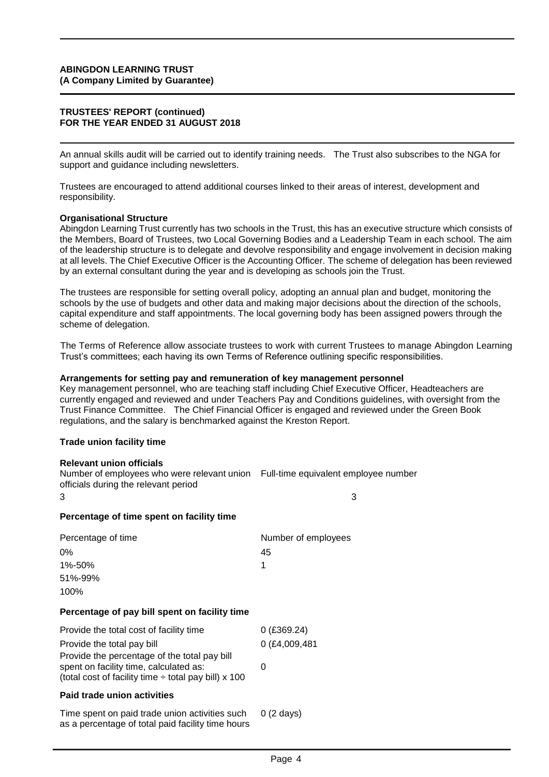#### **TRUSTEES' REPORT (continued) FOR THE YEAR ENDED 31 AUGUST 2018**

An annual skills audit will be carried out to identify training needs. The Trust also subscribes to the NGA for support and guidance including newsletters.

Trustees are encouraged to attend additional courses linked to their areas of interest, development and responsibility.

#### **Organisational Structure**

Abingdon Learning Trust currently has two schools in the Trust, this has an executive structure which consists of the Members, Board of Trustees, two Local Governing Bodies and a Leadership Team in each school. The aim of the leadership structure is to delegate and devolve responsibility and engage involvement in decision making at all levels. The Chief Executive Officer is the Accounting Officer. The scheme of delegation has been reviewed by an external consultant during the year and is developing as schools join the Trust.

The trustees are responsible for setting overall policy, adopting an annual plan and budget, monitoring the schools by the use of budgets and other data and making major decisions about the direction of the schools, capital expenditure and staff appointments. The local governing body has been assigned powers through the scheme of delegation.

The Terms of Reference allow associate trustees to work with current Trustees to manage Abingdon Learning Trust's committees; each having its own Terms of Reference outlining specific responsibilities.

#### **Arrangements for setting pay and remuneration of key management personnel**

Key management personnel, who are teaching staff including Chief Executive Officer, Headteachers are currently engaged and reviewed and under Teachers Pay and Conditions guidelines, with oversight from the Trust Finance Committee. The Chief Financial Officer is engaged and reviewed under the Green Book regulations, and the salary is benchmarked against the Kreston Report.

#### **Trade union facility time**

#### **Relevant union officials**

Number of employees who were relevant union Full-time equivalent employee number officials during the relevant period

# **Percentage of time spent on facility time**

| Percentage of time | Number of employees |
|--------------------|---------------------|
| $0\%$              | 45                  |
| 1%-50%             |                     |
| 51%-99%            |                     |
| 100%               |                     |

 $3 \hspace{2.5cm} 3$ 

#### **Percentage of pay bill spent on facility time**

| Provide the total cost of facility time                                                                                                             | $0$ (£369.24)       |
|-----------------------------------------------------------------------------------------------------------------------------------------------------|---------------------|
| Provide the total pay bill                                                                                                                          | 0 (£4,009,481       |
| Provide the percentage of the total pay bill<br>spent on facility time, calculated as:<br>(total cost of facility time $\div$ total pay bill) x 100 |                     |
| Paid trade union activities                                                                                                                         |                     |
| Time spent on paid trade union activities such<br>as a percentage of total paid facility time hours                                                 | $0(2 \text{ days})$ |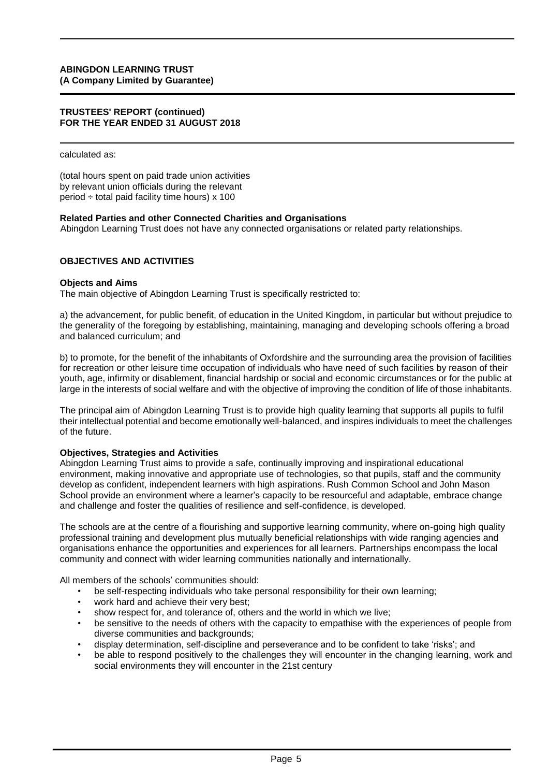#### **TRUSTEES' REPORT (continued) FOR THE YEAR ENDED 31 AUGUST 2018**

calculated as:

(total hours spent on paid trade union activities by relevant union officials during the relevant period  $\div$  total paid facility time hours) x 100

#### **Related Parties and other Connected Charities and Organisations**

Abingdon Learning Trust does not have any connected organisations or related party relationships.

#### **OBJECTIVES AND ACTIVITIES**

#### **Objects and Aims**

The main objective of Abingdon Learning Trust is specifically restricted to:

a) the advancement, for public benefit, of education in the United Kingdom, in particular but without prejudice to the generality of the foregoing by establishing, maintaining, managing and developing schools offering a broad and balanced curriculum; and

b) to promote, for the benefit of the inhabitants of Oxfordshire and the surrounding area the provision of facilities for recreation or other leisure time occupation of individuals who have need of such facilities by reason of their youth, age, infirmity or disablement, financial hardship or social and economic circumstances or for the public at large in the interests of social welfare and with the objective of improving the condition of life of those inhabitants.

The principal aim of Abingdon Learning Trust is to provide high quality learning that supports all pupils to fulfil their intellectual potential and become emotionally well-balanced, and inspires individuals to meet the challenges of the future.

#### **Objectives, Strategies and Activities**

Abingdon Learning Trust aims to provide a safe, continually improving and inspirational educational environment, making innovative and appropriate use of technologies, so that pupils, staff and the community develop as confident, independent learners with high aspirations. Rush Common School and John Mason School provide an environment where a learner's capacity to be resourceful and adaptable, embrace change and challenge and foster the qualities of resilience and self-confidence, is developed.

The schools are at the centre of a flourishing and supportive learning community, where on-going high quality professional training and development plus mutually beneficial relationships with wide ranging agencies and organisations enhance the opportunities and experiences for all learners. Partnerships encompass the local community and connect with wider learning communities nationally and internationally.

All members of the schools' communities should:

- be self-respecting individuals who take personal responsibility for their own learning;
- work hard and achieve their very best;
- show respect for, and tolerance of, others and the world in which we live;
- be sensitive to the needs of others with the capacity to empathise with the experiences of people from diverse communities and backgrounds;
- display determination, self-discipline and perseverance and to be confident to take 'risks'; and
- be able to respond positively to the challenges they will encounter in the changing learning, work and social environments they will encounter in the 21st century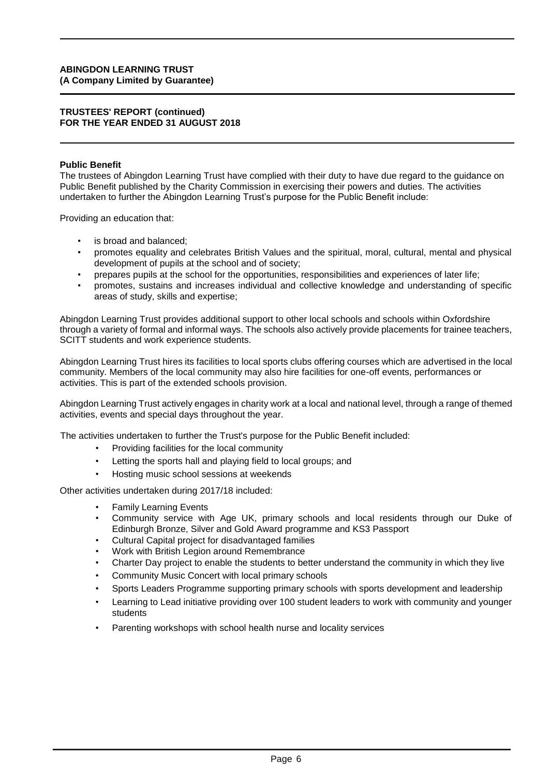#### **TRUSTEES' REPORT (continued) FOR THE YEAR ENDED 31 AUGUST 2018**

#### **Public Benefit**

The trustees of Abingdon Learning Trust have complied with their duty to have due regard to the guidance on Public Benefit published by the Charity Commission in exercising their powers and duties. The activities undertaken to further the Abingdon Learning Trust's purpose for the Public Benefit include:

Providing an education that:

- is broad and balanced:
- promotes equality and celebrates British Values and the spiritual, moral, cultural, mental and physical development of pupils at the school and of society;
- prepares pupils at the school for the opportunities, responsibilities and experiences of later life;
- promotes, sustains and increases individual and collective knowledge and understanding of specific areas of study, skills and expertise;

Abingdon Learning Trust provides additional support to other local schools and schools within Oxfordshire through a variety of formal and informal ways. The schools also actively provide placements for trainee teachers, SCITT students and work experience students.

Abingdon Learning Trust hires its facilities to local sports clubs offering courses which are advertised in the local community. Members of the local community may also hire facilities for one-off events, performances or activities. This is part of the extended schools provision.

Abingdon Learning Trust actively engages in charity work at a local and national level, through a range of themed activities, events and special days throughout the year.

The activities undertaken to further the Trust's purpose for the Public Benefit included:

- Providing facilities for the local community
- Letting the sports hall and playing field to local groups; and
- Hosting music school sessions at weekends

Other activities undertaken during 2017/18 included:

- **Family Learning Events**
- Community service with Age UK, primary schools and local residents through our Duke of Edinburgh Bronze, Silver and Gold Award programme and KS3 Passport
- Cultural Capital project for disadvantaged families
- Work with British Legion around Remembrance
- Charter Day project to enable the students to better understand the community in which they live
- Community Music Concert with local primary schools
- Sports Leaders Programme supporting primary schools with sports development and leadership
- Learning to Lead initiative providing over 100 student leaders to work with community and younger students
- Parenting workshops with school health nurse and locality services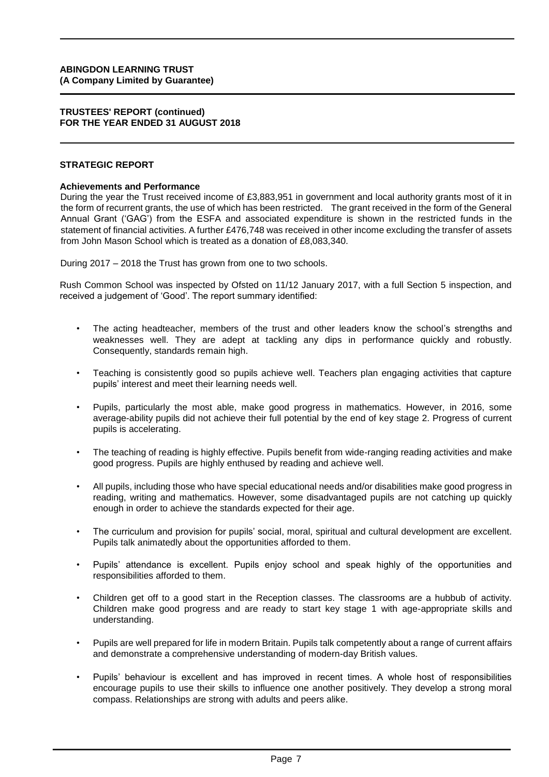#### **TRUSTEES' REPORT (continued) FOR THE YEAR ENDED 31 AUGUST 2018**

#### **STRATEGIC REPORT**

#### **Achievements and Performance**

During the year the Trust received income of £3,883,951 in government and local authority grants most of it in the form of recurrent grants, the use of which has been restricted. The grant received in the form of the General Annual Grant ('GAG') from the ESFA and associated expenditure is shown in the restricted funds in the statement of financial activities. A further £476,748 was received in other income excluding the transfer of assets from John Mason School which is treated as a donation of £8,083,340.

During 2017 – 2018 the Trust has grown from one to two schools.

Rush Common School was inspected by Ofsted on 11/12 January 2017, with a full Section 5 inspection, and received a judgement of 'Good'. The report summary identified:

- The acting headteacher, members of the trust and other leaders know the school's strengths and weaknesses well. They are adept at tackling any dips in performance quickly and robustly. Consequently, standards remain high.
- Teaching is consistently good so pupils achieve well. Teachers plan engaging activities that capture pupils' interest and meet their learning needs well.
- Pupils, particularly the most able, make good progress in mathematics. However, in 2016, some average-ability pupils did not achieve their full potential by the end of key stage 2. Progress of current pupils is accelerating.
- The teaching of reading is highly effective. Pupils benefit from wide-ranging reading activities and make good progress. Pupils are highly enthused by reading and achieve well.
- All pupils, including those who have special educational needs and/or disabilities make good progress in reading, writing and mathematics. However, some disadvantaged pupils are not catching up quickly enough in order to achieve the standards expected for their age.
- The curriculum and provision for pupils' social, moral, spiritual and cultural development are excellent. Pupils talk animatedly about the opportunities afforded to them.
- Pupils' attendance is excellent. Pupils enjoy school and speak highly of the opportunities and responsibilities afforded to them.
- Children get off to a good start in the Reception classes. The classrooms are a hubbub of activity. Children make good progress and are ready to start key stage 1 with age-appropriate skills and understanding.
- Pupils are well prepared for life in modern Britain. Pupils talk competently about a range of current affairs and demonstrate a comprehensive understanding of modern-day British values.
- Pupils' behaviour is excellent and has improved in recent times. A whole host of responsibilities encourage pupils to use their skills to influence one another positively. They develop a strong moral compass. Relationships are strong with adults and peers alike.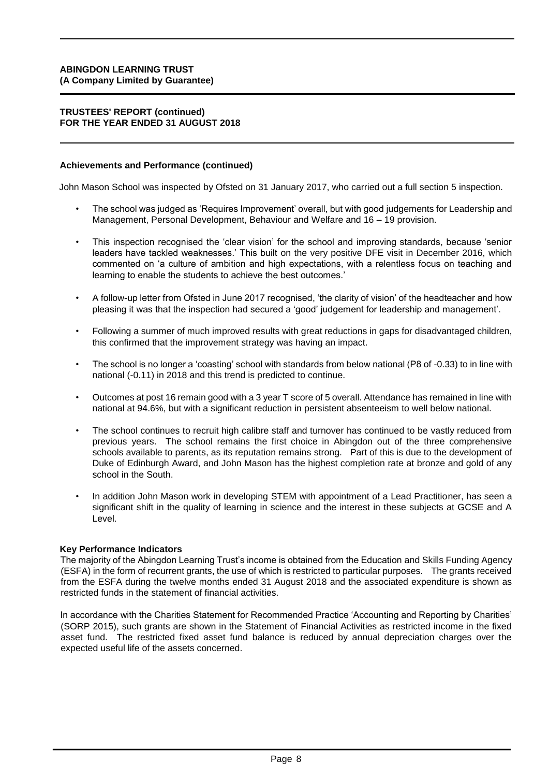#### **TRUSTEES' REPORT (continued) FOR THE YEAR ENDED 31 AUGUST 2018**

#### **Achievements and Performance (continued)**

John Mason School was inspected by Ofsted on 31 January 2017, who carried out a full section 5 inspection.

- The school was judged as 'Requires Improvement' overall, but with good judgements for Leadership and Management, Personal Development, Behaviour and Welfare and 16 – 19 provision.
- This inspection recognised the 'clear vision' for the school and improving standards, because 'senior leaders have tackled weaknesses.' This built on the very positive DFE visit in December 2016, which commented on 'a culture of ambition and high expectations, with a relentless focus on teaching and learning to enable the students to achieve the best outcomes.'
- A follow-up letter from Ofsted in June 2017 recognised, 'the clarity of vision' of the headteacher and how pleasing it was that the inspection had secured a 'good' judgement for leadership and management'.
- Following a summer of much improved results with great reductions in gaps for disadvantaged children, this confirmed that the improvement strategy was having an impact.
- The school is no longer a 'coasting' school with standards from below national (P8 of -0.33) to in line with national (-0.11) in 2018 and this trend is predicted to continue.
- Outcomes at post 16 remain good with a 3 year T score of 5 overall. Attendance has remained in line with national at 94.6%, but with a significant reduction in persistent absenteeism to well below national.
- The school continues to recruit high calibre staff and turnover has continued to be vastly reduced from previous years. The school remains the first choice in Abingdon out of the three comprehensive schools available to parents, as its reputation remains strong. Part of this is due to the development of Duke of Edinburgh Award, and John Mason has the highest completion rate at bronze and gold of any school in the South.
- In addition John Mason work in developing STEM with appointment of a Lead Practitioner, has seen a significant shift in the quality of learning in science and the interest in these subjects at GCSE and A Level.

#### **Key Performance Indicators**

The majority of the Abingdon Learning Trust's income is obtained from the Education and Skills Funding Agency (ESFA) in the form of recurrent grants, the use of which is restricted to particular purposes. The grants received from the ESFA during the twelve months ended 31 August 2018 and the associated expenditure is shown as restricted funds in the statement of financial activities.

In accordance with the Charities Statement for Recommended Practice 'Accounting and Reporting by Charities' (SORP 2015), such grants are shown in the Statement of Financial Activities as restricted income in the fixed asset fund. The restricted fixed asset fund balance is reduced by annual depreciation charges over the expected useful life of the assets concerned.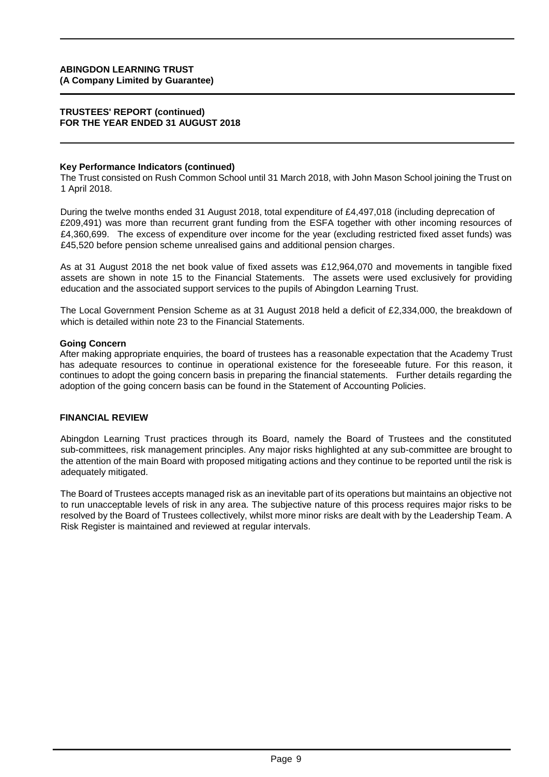#### **TRUSTEES' REPORT (continued) FOR THE YEAR ENDED 31 AUGUST 2018**

#### **Key Performance Indicators (continued)**

The Trust consisted on Rush Common School until 31 March 2018, with John Mason School joining the Trust on 1 April 2018.

During the twelve months ended 31 August 2018, total expenditure of £4,497,018 (including deprecation of £209,491) was more than recurrent grant funding from the ESFA together with other incoming resources of £4,360,699. The excess of expenditure over income for the year (excluding restricted fixed asset funds) was £45,520 before pension scheme unrealised gains and additional pension charges.

As at 31 August 2018 the net book value of fixed assets was £12,964,070 and movements in tangible fixed assets are shown in note 15 to the Financial Statements. The assets were used exclusively for providing education and the associated support services to the pupils of Abingdon Learning Trust.

The Local Government Pension Scheme as at 31 August 2018 held a deficit of £2,334,000, the breakdown of which is detailed within note 23 to the Financial Statements.

#### **Going Concern**

After making appropriate enquiries, the board of trustees has a reasonable expectation that the Academy Trust has adequate resources to continue in operational existence for the foreseeable future. For this reason, it continues to adopt the going concern basis in preparing the financial statements. Further details regarding the adoption of the going concern basis can be found in the Statement of Accounting Policies.

#### **FINANCIAL REVIEW**

Abingdon Learning Trust practices through its Board, namely the Board of Trustees and the constituted sub-committees, risk management principles. Any major risks highlighted at any sub-committee are brought to the attention of the main Board with proposed mitigating actions and they continue to be reported until the risk is adequately mitigated.

The Board of Trustees accepts managed risk as an inevitable part of its operations but maintains an objective not to run unacceptable levels of risk in any area. The subjective nature of this process requires major risks to be resolved by the Board of Trustees collectively, whilst more minor risks are dealt with by the Leadership Team. A Risk Register is maintained and reviewed at regular intervals.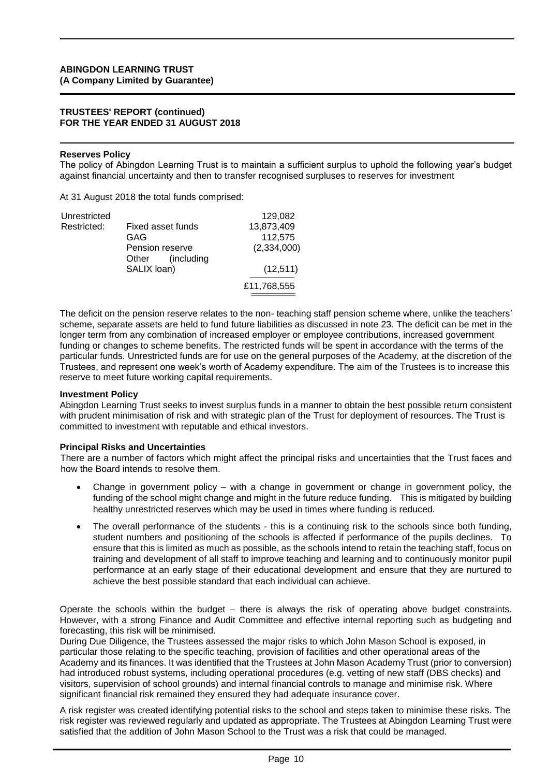#### **TRUSTEES' REPORT (continued) FOR THE YEAR ENDED 31 AUGUST 2018**

#### **Reserves Policy**

The policy of Abingdon Learning Trust is to maintain a sufficient surplus to uphold the following year's budget against financial uncertainty and then to transfer recognised surpluses to reserves for investment

At 31 August 2018 the total funds comprised:

| Unrestricted |                      | 129,082     |
|--------------|----------------------|-------------|
| Restricted:  | Fixed asset funds    | 13,873,409  |
|              | GAG                  | 112,575     |
|              | Pension reserve      | (2,334,000) |
|              | (including)<br>Other |             |
|              | SALIX loan)          | (12, 511)   |
|              |                      | £11,768,555 |
|              |                      |             |

The deficit on the pension reserve relates to the non- teaching staff pension scheme where, unlike the teachers' scheme, separate assets are held to fund future liabilities as discussed in note 23. The deficit can be met in the longer term from any combination of increased employer or employee contributions, increased government funding or changes to scheme benefits. The restricted funds will be spent in accordance with the terms of the particular funds. Unrestricted funds are for use on the general purposes of the Academy, at the discretion of the Trustees, and represent one week's worth of Academy expenditure. The aim of the Trustees is to increase this reserve to meet future working capital requirements.

#### **Investment Policy**

Abingdon Learning Trust seeks to invest surplus funds in a manner to obtain the best possible return consistent with prudent minimisation of risk and with strategic plan of the Trust for deployment of resources. The Trust is committed to investment with reputable and ethical investors.

#### **Principal Risks and Uncertainties**

There are a number of factors which might affect the principal risks and uncertainties that the Trust faces and how the Board intends to resolve them.

- Change in government policy with a change in government or change in government policy, the funding of the school might change and might in the future reduce funding. This is mitigated by building healthy unrestricted reserves which may be used in times where funding is reduced.
- The overall performance of the students this is a continuing risk to the schools since both funding, student numbers and positioning of the schools is affected if performance of the pupils declines. To ensure that this is limited as much as possible, as the schools intend to retain the teaching staff, focus on training and development of all staff to improve teaching and learning and to continuously monitor pupil performance at an early stage of their educational development and ensure that they are nurtured to achieve the best possible standard that each individual can achieve.

Operate the schools within the budget – there is always the risk of operating above budget constraints. However, with a strong Finance and Audit Committee and effective internal reporting such as budgeting and forecasting, this risk will be minimised.

During Due Diligence, the Trustees assessed the major risks to which John Mason School is exposed, in particular those relating to the specific teaching, provision of facilities and other operational areas of the Academy and its finances. It was identified that the Trustees at John Mason Academy Trust (prior to conversion) had introduced robust systems, including operational procedures (e.g. vetting of new staff (DBS checks) and visitors, supervision of school grounds) and internal financial controls to manage and minimise risk. Where significant financial risk remained they ensured they had adequate insurance cover.

A risk register was created identifying potential risks to the school and steps taken to minimise these risks. The risk register was reviewed regularly and updated as appropriate. The Trustees at Abingdon Learning Trust were satisfied that the addition of John Mason School to the Trust was a risk that could be managed.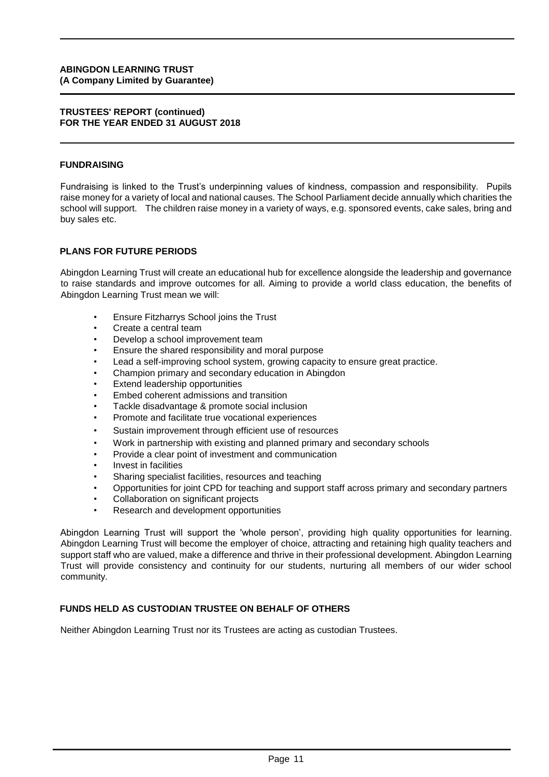#### **TRUSTEES' REPORT (continued) FOR THE YEAR ENDED 31 AUGUST 2018**

#### **FUNDRAISING**

Fundraising is linked to the Trust's underpinning values of kindness, compassion and responsibility. Pupils raise money for a variety of local and national causes. The School Parliament decide annually which charities the school will support. The children raise money in a variety of ways, e.g. sponsored events, cake sales, bring and buy sales etc.

### **PLANS FOR FUTURE PERIODS**

Abingdon Learning Trust will create an educational hub for excellence alongside the leadership and governance to raise standards and improve outcomes for all. Aiming to provide a world class education, the benefits of Abingdon Learning Trust mean we will:

- Ensure Fitzharrys School joins the Trust
- Create a central team
- Develop a school improvement team
- Ensure the shared responsibility and moral purpose
- Lead a self-improving school system, growing capacity to ensure great practice.
- Champion primary and secondary education in Abingdon
- Extend leadership opportunities
- Embed coherent admissions and transition
- Tackle disadvantage & promote social inclusion
- Promote and facilitate true vocational experiences
- Sustain improvement through efficient use of resources
- Work in partnership with existing and planned primary and secondary schools
- Provide a clear point of investment and communication
- Invest in facilities
- Sharing specialist facilities, resources and teaching
- Opportunities for joint CPD for teaching and support staff across primary and secondary partners
- Collaboration on significant projects
- Research and development opportunities

Abingdon Learning Trust will support the 'whole person', providing high quality opportunities for learning. Abingdon Learning Trust will become the employer of choice, attracting and retaining high quality teachers and support staff who are valued, make a difference and thrive in their professional development. Abingdon Learning Trust will provide consistency and continuity for our students, nurturing all members of our wider school community.

#### **FUNDS HELD AS CUSTODIAN TRUSTEE ON BEHALF OF OTHERS**

Neither Abingdon Learning Trust nor its Trustees are acting as custodian Trustees.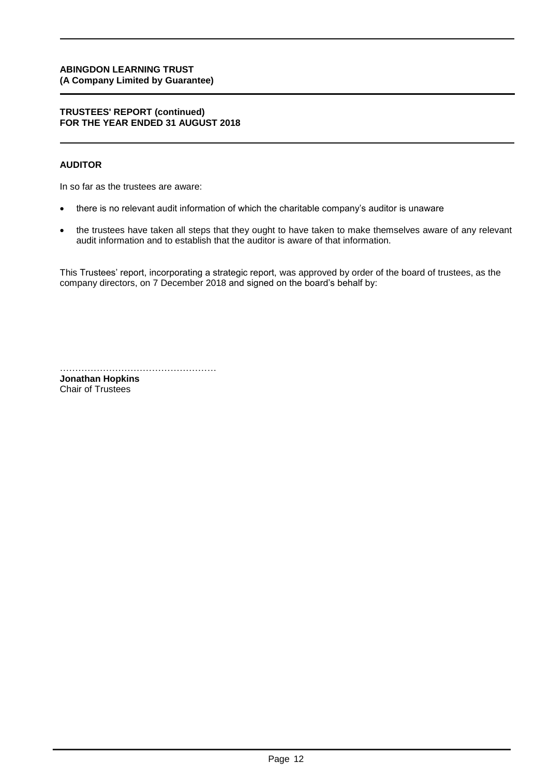#### **TRUSTEES' REPORT (continued) FOR THE YEAR ENDED 31 AUGUST 2018**

# **AUDITOR**

In so far as the trustees are aware:

- there is no relevant audit information of which the charitable company's auditor is unaware
- the trustees have taken all steps that they ought to have taken to make themselves aware of any relevant audit information and to establish that the auditor is aware of that information.

This Trustees' report, incorporating a strategic report, was approved by order of the board of trustees, as the company directors, on 7 December 2018 and signed on the board's behalf by:

…………………………………………… **Jonathan Hopkins**

Chair of Trustees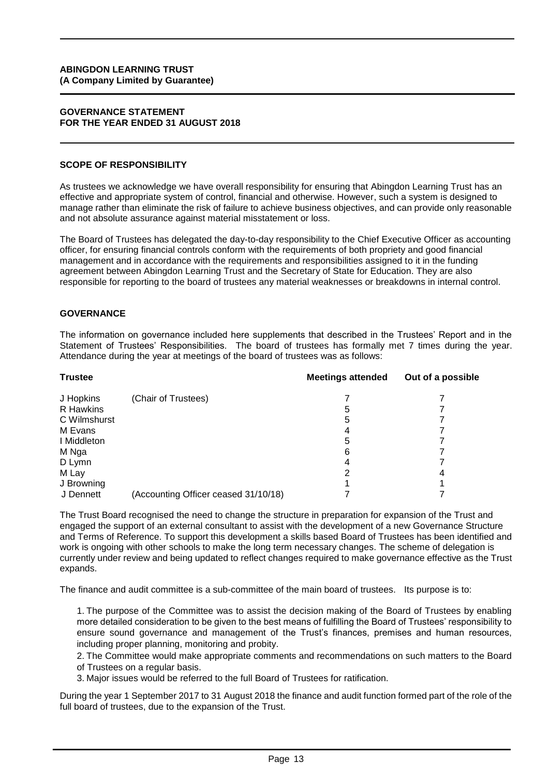#### **GOVERNANCE STATEMENT FOR THE YEAR ENDED 31 AUGUST 2018**

#### **SCOPE OF RESPONSIBILITY**

As trustees we acknowledge we have overall responsibility for ensuring that Abingdon Learning Trust has an effective and appropriate system of control, financial and otherwise. However, such a system is designed to manage rather than eliminate the risk of failure to achieve business objectives, and can provide only reasonable and not absolute assurance against material misstatement or loss.

The Board of Trustees has delegated the day-to-day responsibility to the Chief Executive Officer as accounting officer, for ensuring financial controls conform with the requirements of both propriety and good financial management and in accordance with the requirements and responsibilities assigned to it in the funding agreement between Abingdon Learning Trust and the Secretary of State for Education. They are also responsible for reporting to the board of trustees any material weaknesses or breakdowns in internal control.

#### **GOVERNANCE**

The information on governance included here supplements that described in the Trustees' Report and in the Statement of Trustees' Responsibilities. The board of trustees has formally met 7 times during the year. Attendance during the year at meetings of the board of trustees was as follows:

| <b>Trustee</b> |                                      | <b>Meetings attended</b> | Out of a possible |
|----------------|--------------------------------------|--------------------------|-------------------|
| J Hopkins      | (Chair of Trustees)                  |                          |                   |
| R Hawkins      |                                      | 5                        |                   |
| C Wilmshurst   |                                      | 5                        |                   |
| M Evans        |                                      |                          |                   |
| I Middleton    |                                      | 5                        |                   |
| M Nga          |                                      | 6                        |                   |
| D Lymn         |                                      |                          |                   |
| M Lay          |                                      |                          | 4                 |
| J Browning     |                                      |                          |                   |
| J Dennett      | (Accounting Officer ceased 31/10/18) |                          |                   |

The Trust Board recognised the need to change the structure in preparation for expansion of the Trust and engaged the support of an external consultant to assist with the development of a new Governance Structure and Terms of Reference. To support this development a skills based Board of Trustees has been identified and work is ongoing with other schools to make the long term necessary changes. The scheme of delegation is currently under review and being updated to reflect changes required to make governance effective as the Trust expands.

The finance and audit committee is a sub-committee of the main board of trustees. Its purpose is to:

1. The purpose of the Committee was to assist the decision making of the Board of Trustees by enabling more detailed consideration to be given to the best means of fulfilling the Board of Trustees' responsibility to ensure sound governance and management of the Trust's finances, premises and human resources, including proper planning, monitoring and probity.

2. The Committee would make appropriate comments and recommendations on such matters to the Board of Trustees on a regular basis.

3. Major issues would be referred to the full Board of Trustees for ratification.

During the year 1 September 2017 to 31 August 2018 the finance and audit function formed part of the role of the full board of trustees, due to the expansion of the Trust.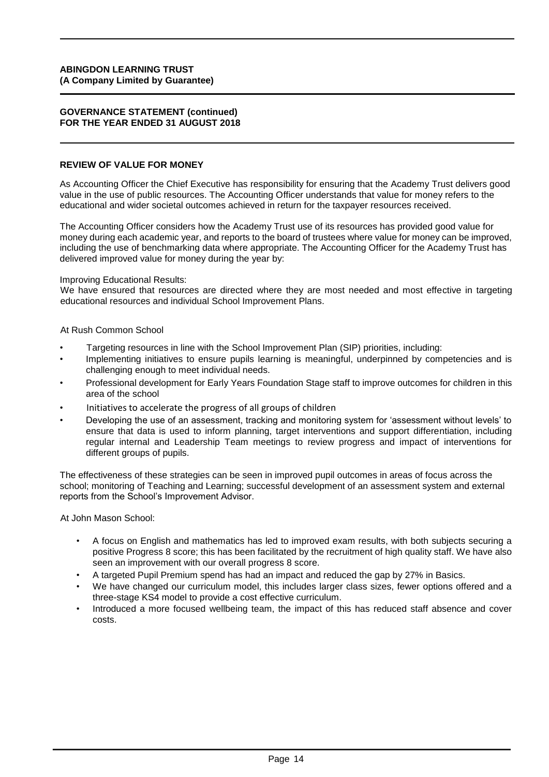#### **GOVERNANCE STATEMENT (continued) FOR THE YEAR ENDED 31 AUGUST 2018**

#### **REVIEW OF VALUE FOR MONEY**

As Accounting Officer the Chief Executive has responsibility for ensuring that the Academy Trust delivers good value in the use of public resources. The Accounting Officer understands that value for money refers to the educational and wider societal outcomes achieved in return for the taxpayer resources received.

The Accounting Officer considers how the Academy Trust use of its resources has provided good value for money during each academic year, and reports to the board of trustees where value for money can be improved, including the use of benchmarking data where appropriate. The Accounting Officer for the Academy Trust has delivered improved value for money during the year by:

Improving Educational Results:

We have ensured that resources are directed where they are most needed and most effective in targeting educational resources and individual School Improvement Plans.

#### At Rush Common School

- Targeting resources in line with the School Improvement Plan (SIP) priorities, including:
- Implementing initiatives to ensure pupils learning is meaningful, underpinned by competencies and is challenging enough to meet individual needs.
- Professional development for Early Years Foundation Stage staff to improve outcomes for children in this area of the school
- Initiatives to accelerate the progress of all groups of children
- Developing the use of an assessment, tracking and monitoring system for 'assessment without levels' to ensure that data is used to inform planning, target interventions and support differentiation, including regular internal and Leadership Team meetings to review progress and impact of interventions for different groups of pupils.

The effectiveness of these strategies can be seen in improved pupil outcomes in areas of focus across the school; monitoring of Teaching and Learning; successful development of an assessment system and external reports from the School's Improvement Advisor.

At John Mason School:

- A focus on English and mathematics has led to improved exam results, with both subjects securing a positive Progress 8 score; this has been facilitated by the recruitment of high quality staff. We have also seen an improvement with our overall progress 8 score.
- A targeted Pupil Premium spend has had an impact and reduced the gap by 27% in Basics.
- We have changed our curriculum model, this includes larger class sizes, fewer options offered and a three-stage KS4 model to provide a cost effective curriculum.
- Introduced a more focused wellbeing team, the impact of this has reduced staff absence and cover costs.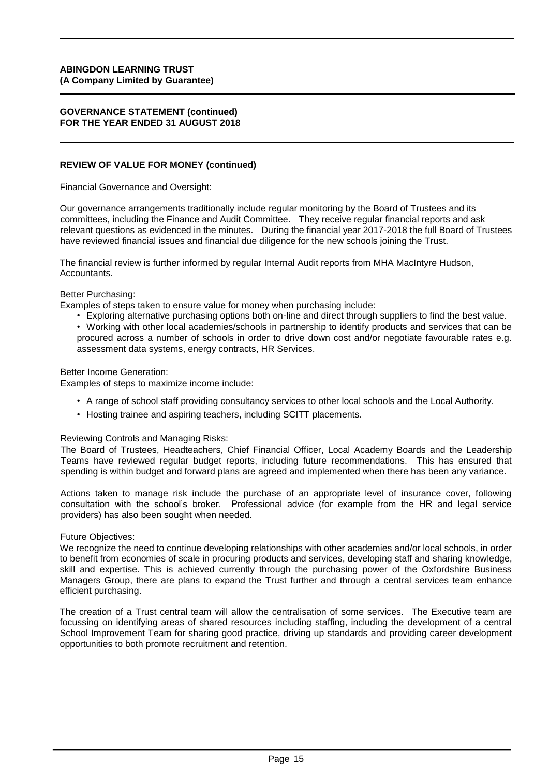#### **GOVERNANCE STATEMENT (continued) FOR THE YEAR ENDED 31 AUGUST 2018**

#### **REVIEW OF VALUE FOR MONEY (continued)**

Financial Governance and Oversight:

Our governance arrangements traditionally include regular monitoring by the Board of Trustees and its committees, including the Finance and Audit Committee. They receive regular financial reports and ask relevant questions as evidenced in the minutes. During the financial year 2017-2018 the full Board of Trustees have reviewed financial issues and financial due diligence for the new schools joining the Trust.

The financial review is further informed by regular Internal Audit reports from MHA MacIntyre Hudson, Accountants.

Better Purchasing:

Examples of steps taken to ensure value for money when purchasing include:

• Exploring alternative purchasing options both on-line and direct through suppliers to find the best value. • Working with other local academies/schools in partnership to identify products and services that can be procured across a number of schools in order to drive down cost and/or negotiate favourable rates e.g. assessment data systems, energy contracts, HR Services.

Better Income Generation:

Examples of steps to maximize income include:

- A range of school staff providing consultancy services to other local schools and the Local Authority.
- Hosting trainee and aspiring teachers, including SCITT placements.

#### Reviewing Controls and Managing Risks:

The Board of Trustees, Headteachers, Chief Financial Officer, Local Academy Boards and the Leadership Teams have reviewed regular budget reports, including future recommendations. This has ensured that spending is within budget and forward plans are agreed and implemented when there has been any variance.

Actions taken to manage risk include the purchase of an appropriate level of insurance cover, following consultation with the school's broker. Professional advice (for example from the HR and legal service providers) has also been sought when needed.

Future Objectives:

We recognize the need to continue developing relationships with other academies and/or local schools, in order to benefit from economies of scale in procuring products and services, developing staff and sharing knowledge, skill and expertise. This is achieved currently through the purchasing power of the Oxfordshire Business Managers Group, there are plans to expand the Trust further and through a central services team enhance efficient purchasing.

The creation of a Trust central team will allow the centralisation of some services. The Executive team are focussing on identifying areas of shared resources including staffing, including the development of a central School Improvement Team for sharing good practice, driving up standards and providing career development opportunities to both promote recruitment and retention.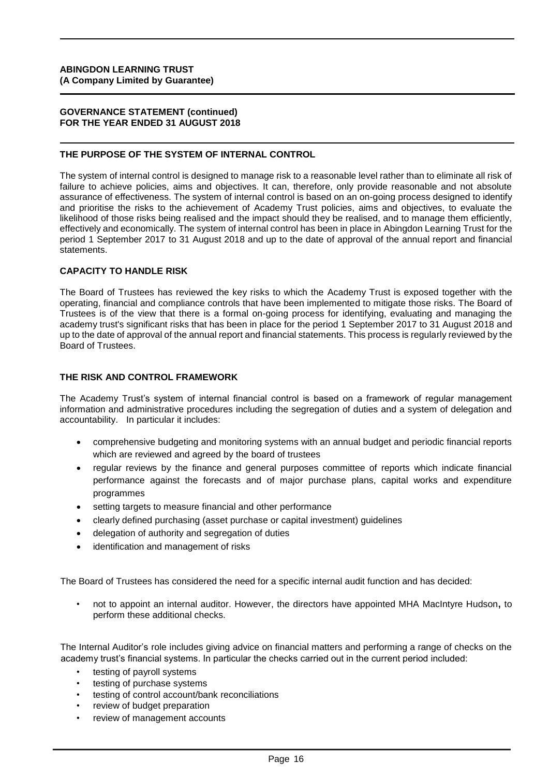#### **GOVERNANCE STATEMENT (continued) FOR THE YEAR ENDED 31 AUGUST 2018**

#### **THE PURPOSE OF THE SYSTEM OF INTERNAL CONTROL**

The system of internal control is designed to manage risk to a reasonable level rather than to eliminate all risk of failure to achieve policies, aims and objectives. It can, therefore, only provide reasonable and not absolute assurance of effectiveness. The system of internal control is based on an on-going process designed to identify and prioritise the risks to the achievement of Academy Trust policies, aims and objectives, to evaluate the likelihood of those risks being realised and the impact should they be realised, and to manage them efficiently, effectively and economically. The system of internal control has been in place in Abingdon Learning Trust for the period 1 September 2017 to 31 August 2018 and up to the date of approval of the annual report and financial statements.

### **CAPACITY TO HANDLE RISK**

The Board of Trustees has reviewed the key risks to which the Academy Trust is exposed together with the operating, financial and compliance controls that have been implemented to mitigate those risks. The Board of Trustees is of the view that there is a formal on-going process for identifying, evaluating and managing the academy trust's significant risks that has been in place for the period 1 September 2017 to 31 August 2018 and up to the date of approval of the annual report and financial statements. This process is regularly reviewed by the Board of Trustees.

# **THE RISK AND CONTROL FRAMEWORK**

The Academy Trust's system of internal financial control is based on a framework of regular management information and administrative procedures including the segregation of duties and a system of delegation and accountability. In particular it includes:

- comprehensive budgeting and monitoring systems with an annual budget and periodic financial reports which are reviewed and agreed by the board of trustees
- regular reviews by the finance and general purposes committee of reports which indicate financial performance against the forecasts and of major purchase plans, capital works and expenditure programmes
- setting targets to measure financial and other performance
- clearly defined purchasing (asset purchase or capital investment) guidelines
- delegation of authority and segregation of duties
- identification and management of risks

The Board of Trustees has considered the need for a specific internal audit function and has decided:

• not to appoint an internal auditor. However, the directors have appointed MHA MacIntyre Hudson**,** to perform these additional checks.

The Internal Auditor's role includes giving advice on financial matters and performing a range of checks on the academy trust's financial systems. In particular the checks carried out in the current period included:

- testing of payroll systems
- testing of purchase systems
- testing of control account/bank reconciliations
- review of budget preparation
- review of management accounts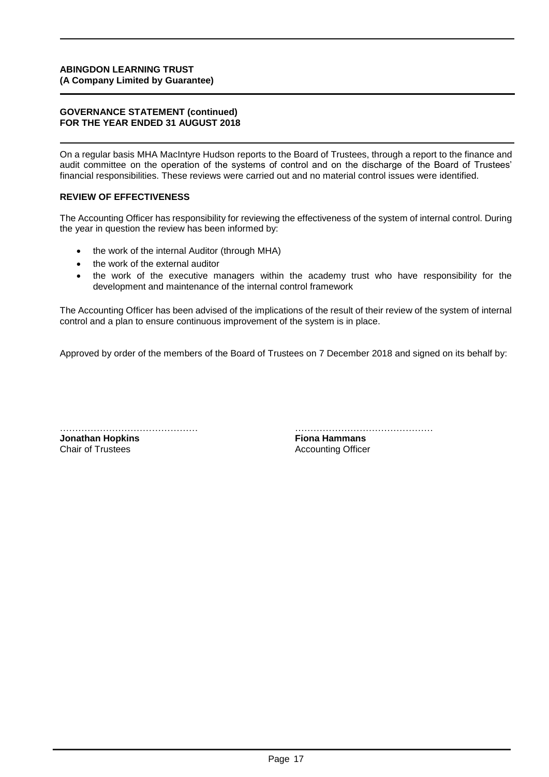#### **GOVERNANCE STATEMENT (continued) FOR THE YEAR ENDED 31 AUGUST 2018**

On a regular basis MHA MacIntyre Hudson reports to the Board of Trustees, through a report to the finance and audit committee on the operation of the systems of control and on the discharge of the Board of Trustees' financial responsibilities. These reviews were carried out and no material control issues were identified.

### **REVIEW OF EFFECTIVENESS**

The Accounting Officer has responsibility for reviewing the effectiveness of the system of internal control. During the year in question the review has been informed by:

- the work of the internal Auditor (through MHA)
- the work of the external auditor
- the work of the executive managers within the academy trust who have responsibility for the development and maintenance of the internal control framework

The Accounting Officer has been advised of the implications of the result of their review of the system of internal control and a plan to ensure continuous improvement of the system is in place.

Approved by order of the members of the Board of Trustees on 7 December 2018 and signed on its behalf by:

**Jonathan Hopkins**<br>Chair of Trustees

……………………………………… ……………………………………… **Accounting Officer**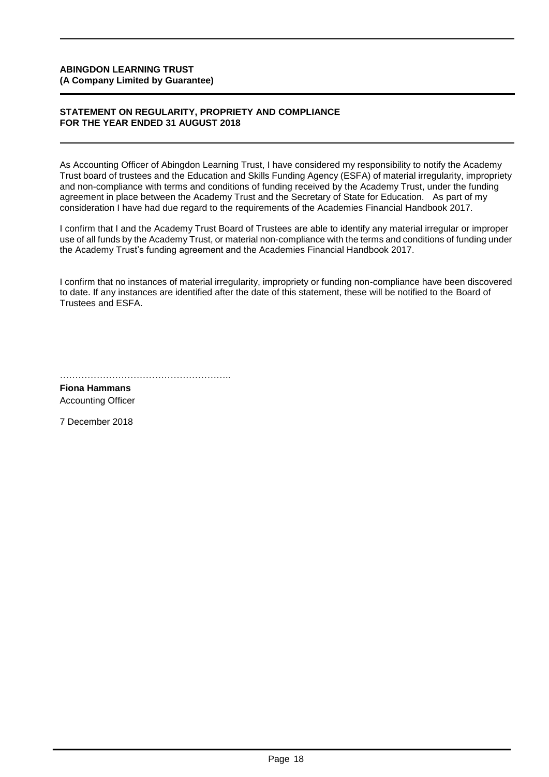#### **STATEMENT ON REGULARITY, PROPRIETY AND COMPLIANCE FOR THE YEAR ENDED 31 AUGUST 2018**

As Accounting Officer of Abingdon Learning Trust, I have considered my responsibility to notify the Academy Trust board of trustees and the Education and Skills Funding Agency (ESFA) of material irregularity, impropriety and non-compliance with terms and conditions of funding received by the Academy Trust, under the funding agreement in place between the Academy Trust and the Secretary of State for Education. As part of my consideration I have had due regard to the requirements of the Academies Financial Handbook 2017.

I confirm that I and the Academy Trust Board of Trustees are able to identify any material irregular or improper use of all funds by the Academy Trust, or material non-compliance with the terms and conditions of funding under the Academy Trust's funding agreement and the Academies Financial Handbook 2017.

I confirm that no instances of material irregularity, impropriety or funding non-compliance have been discovered to date. If any instances are identified after the date of this statement, these will be notified to the Board of Trustees and ESFA.

……………………………………………………………

**Fiona Hammans** Accounting Officer

7 December 2018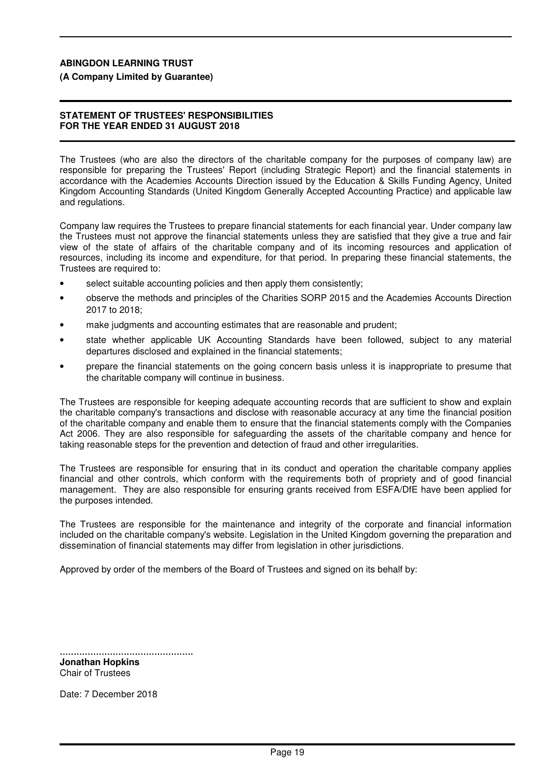**(A Company Limited by Guarantee)**

#### **STATEMENT OF TRUSTEES' RESPONSIBILITIES FOR THE YEAR ENDED 31 AUGUST 2018**

The Trustees (who are also the directors of the charitable company for the purposes of company law) are responsible for preparing the Trustees' Report (including Strategic Report) and the financial statements in accordance with the Academies Accounts Direction issued by the Education & Skills Funding Agency, United Kingdom Accounting Standards (United Kingdom Generally Accepted Accounting Practice) and applicable law and regulations.

Company law requires the Trustees to prepare financial statements for each financial year. Under company law the Trustees must not approve the financial statements unless they are satisfied that they give a true and fair view of the state of affairs of the charitable company and of its incoming resources and application of resources, including its income and expenditure, for that period. In preparing these financial statements, the Trustees are required to:

- select suitable accounting policies and then apply them consistently;
- observe the methods and principles of the Charities SORP 2015 and the Academies Accounts Direction 2017 to 2018;
- make judgments and accounting estimates that are reasonable and prudent;
- state whether applicable UK Accounting Standards have been followed, subject to any material departures disclosed and explained in the financial statements;
- prepare the financial statements on the going concern basis unless it is inappropriate to presume that the charitable company will continue in business.

The Trustees are responsible for keeping adequate accounting records that are sufficient to show and explain the charitable company's transactions and disclose with reasonable accuracy at any time the financial position of the charitable company and enable them to ensure that the financial statements comply with the Companies Act 2006. They are also responsible for safeguarding the assets of the charitable company and hence for taking reasonable steps for the prevention and detection of fraud and other irregularities.

The Trustees are responsible for ensuring that in its conduct and operation the charitable company applies financial and other controls, which conform with the requirements both of propriety and of good financial management. They are also responsible for ensuring grants received from ESFA/DfE have been applied for the purposes intended.

The Trustees are responsible for the maintenance and integrity of the corporate and financial information included on the charitable company's website. Legislation in the United Kingdom governing the preparation and dissemination of financial statements may differ from legislation in other jurisdictions.

Approved by order of the members of the Board of Trustees and signed on its behalf by:

................................................ **Jonathan Hopkins** Chair of Trustees

Date: 7 December 2018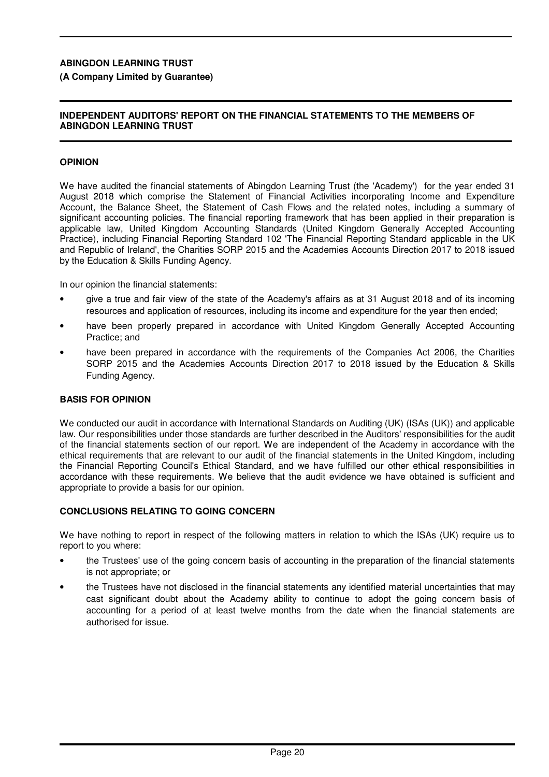### **(A Company Limited by Guarantee)**

#### **INDEPENDENT AUDITORS' REPORT ON THE FINANCIAL STATEMENTS TO THE MEMBERS OF ABINGDON LEARNING TRUST**

### **OPINION**

We have audited the financial statements of Abingdon Learning Trust (the 'Academy') for the year ended 31 August 2018 which comprise the Statement of Financial Activities incorporating Income and Expenditure Account, the Balance Sheet, the Statement of Cash Flows and the related notes, including a summary of significant accounting policies. The financial reporting framework that has been applied in their preparation is applicable law, United Kingdom Accounting Standards (United Kingdom Generally Accepted Accounting Practice), including Financial Reporting Standard 102 'The Financial Reporting Standard applicable in the UK and Republic of Ireland', the Charities SORP 2015 and the Academies Accounts Direction 2017 to 2018 issued by the Education & Skills Funding Agency.

In our opinion the financial statements:

- give a true and fair view of the state of the Academy's affairs as at 31 August 2018 and of its incoming resources and application of resources, including its income and expenditure for the year then ended;
- have been properly prepared in accordance with United Kingdom Generally Accepted Accounting Practice; and
- have been prepared in accordance with the requirements of the Companies Act 2006, the Charities SORP 2015 and the Academies Accounts Direction 2017 to 2018 issued by the Education & Skills Funding Agency.

#### **BASIS FOR OPINION**

We conducted our audit in accordance with International Standards on Auditing (UK) (ISAs (UK)) and applicable law. Our responsibilities under those standards are further described in the Auditors' responsibilities for the audit of the financial statements section of our report. We are independent of the Academy in accordance with the ethical requirements that are relevant to our audit of the financial statements in the United Kingdom, including the Financial Reporting Council's Ethical Standard, and we have fulfilled our other ethical responsibilities in accordance with these requirements. We believe that the audit evidence we have obtained is sufficient and appropriate to provide a basis for our opinion.

#### **CONCLUSIONS RELATING TO GOING CONCERN**

We have nothing to report in respect of the following matters in relation to which the ISAs (UK) require us to report to you where:

- the Trustees' use of the going concern basis of accounting in the preparation of the financial statements is not appropriate; or
- the Trustees have not disclosed in the financial statements any identified material uncertainties that may cast significant doubt about the Academy ability to continue to adopt the going concern basis of accounting for a period of at least twelve months from the date when the financial statements are authorised for issue.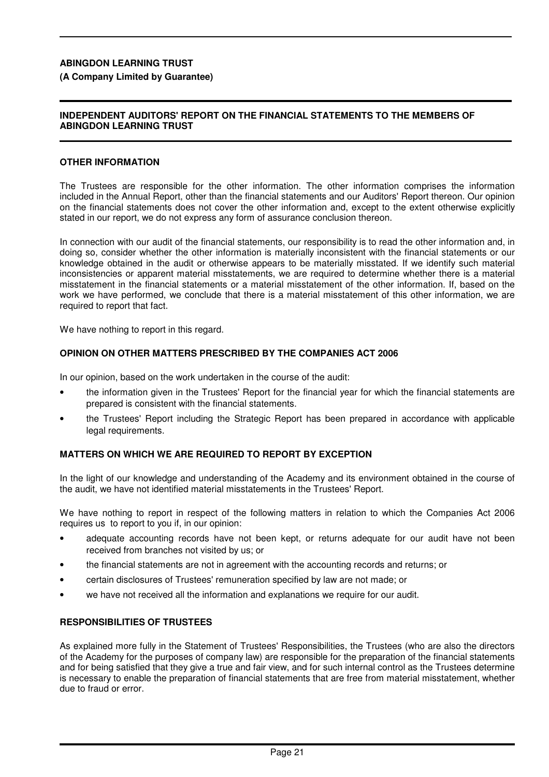#### **(A Company Limited by Guarantee)**

#### **INDEPENDENT AUDITORS' REPORT ON THE FINANCIAL STATEMENTS TO THE MEMBERS OF ABINGDON LEARNING TRUST**

#### **OTHER INFORMATION**

The Trustees are responsible for the other information. The other information comprises the information included in the Annual Report, other than the financial statements and our Auditors' Report thereon. Our opinion on the financial statements does not cover the other information and, except to the extent otherwise explicitly stated in our report, we do not express any form of assurance conclusion thereon.

In connection with our audit of the financial statements, our responsibility is to read the other information and, in doing so, consider whether the other information is materially inconsistent with the financial statements or our knowledge obtained in the audit or otherwise appears to be materially misstated. If we identify such material inconsistencies or apparent material misstatements, we are required to determine whether there is a material misstatement in the financial statements or a material misstatement of the other information. If, based on the work we have performed, we conclude that there is a material misstatement of this other information, we are required to report that fact.

We have nothing to report in this regard.

#### **OPINION ON OTHER MATTERS PRESCRIBED BY THE COMPANIES ACT 2006**

In our opinion, based on the work undertaken in the course of the audit:

- the information given in the Trustees' Report for the financial year for which the financial statements are prepared is consistent with the financial statements.
- the Trustees' Report including the Strategic Report has been prepared in accordance with applicable legal requirements.

#### **MATTERS ON WHICH WE ARE REQUIRED TO REPORT BY EXCEPTION**

In the light of our knowledge and understanding of the Academy and its environment obtained in the course of the audit, we have not identified material misstatements in the Trustees' Report.

We have nothing to report in respect of the following matters in relation to which the Companies Act 2006 requires us to report to you if, in our opinion:

- adequate accounting records have not been kept, or returns adequate for our audit have not been received from branches not visited by us; or
- the financial statements are not in agreement with the accounting records and returns; or
- certain disclosures of Trustees' remuneration specified by law are not made; or
- we have not received all the information and explanations we require for our audit.

#### **RESPONSIBILITIES OF TRUSTEES**

As explained more fully in the Statement of Trustees' Responsibilities, the Trustees (who are also the directors of the Academy for the purposes of company law) are responsible for the preparation of the financial statements and for being satisfied that they give a true and fair view, and for such internal control as the Trustees determine is necessary to enable the preparation of financial statements that are free from material misstatement, whether due to fraud or error.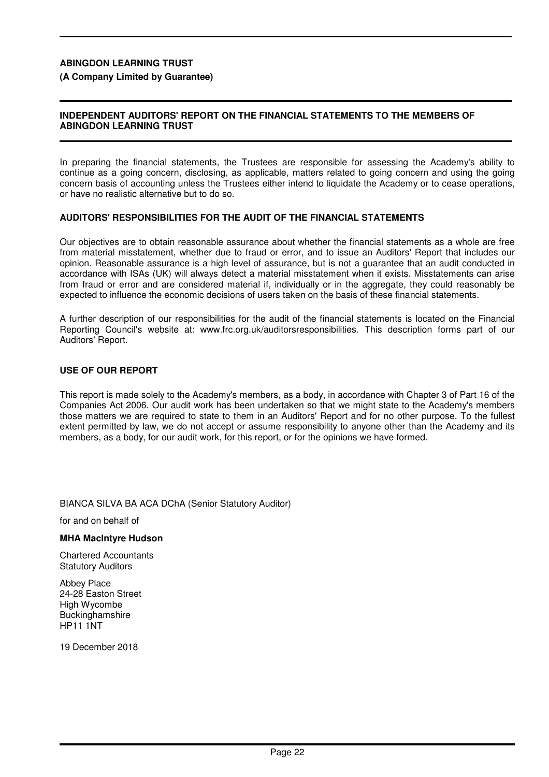#### **(A Company Limited by Guarantee)**

#### **INDEPENDENT AUDITORS' REPORT ON THE FINANCIAL STATEMENTS TO THE MEMBERS OF ABINGDON LEARNING TRUST**

In preparing the financial statements, the Trustees are responsible for assessing the Academy's ability to continue as a going concern, disclosing, as applicable, matters related to going concern and using the going concern basis of accounting unless the Trustees either intend to liquidate the Academy or to cease operations, or have no realistic alternative but to do so.

#### **AUDITORS' RESPONSIBILITIES FOR THE AUDIT OF THE FINANCIAL STATEMENTS**

Our objectives are to obtain reasonable assurance about whether the financial statements as a whole are free from material misstatement, whether due to fraud or error, and to issue an Auditors' Report that includes our opinion. Reasonable assurance is a high level of assurance, but is not a guarantee that an audit conducted in accordance with ISAs (UK) will always detect a material misstatement when it exists. Misstatements can arise from fraud or error and are considered material if, individually or in the aggregate, they could reasonably be expected to influence the economic decisions of users taken on the basis of these financial statements.

A further description of our responsibilities for the audit of the financial statements is located on the Financial Reporting Council's website at: www.frc.org.uk/auditorsresponsibilities. This description forms part of our Auditors' Report.

#### **USE OF OUR REPORT**

This report is made solely to the Academy's members, as a body, in accordance with Chapter 3 of Part 16 of the Companies Act 2006. Our audit work has been undertaken so that we might state to the Academy's members those matters we are required to state to them in an Auditors' Report and for no other purpose. To the fullest extent permitted by law, we do not accept or assume responsibility to anyone other than the Academy and its members, as a body, for our audit work, for this report, or for the opinions we have formed.

BIANCA SILVA BA ACA DChA (Senior Statutory Auditor)

for and on behalf of

#### **MHA MacIntyre Hudson**

Chartered Accountants Statutory Auditors

Abbey Place 24-28 Easton Street High Wycombe **Buckinghamshire** HP11 1NT

19 December 2018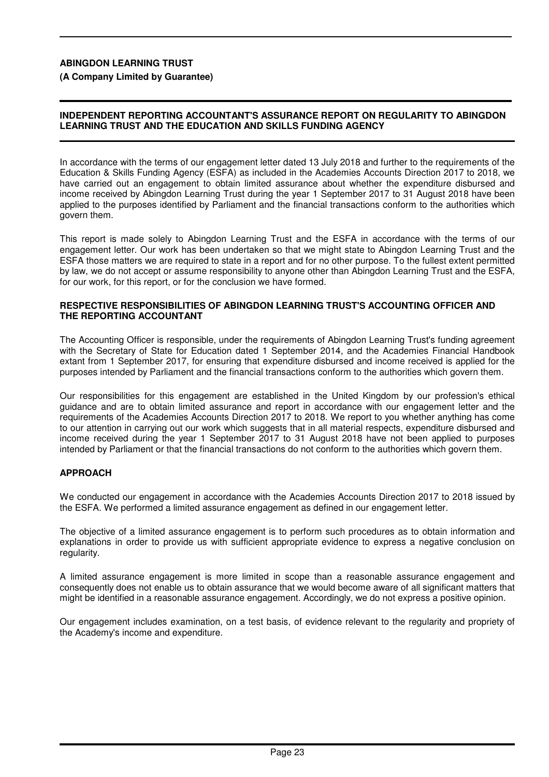**(A Company Limited by Guarantee)**

### **INDEPENDENT REPORTING ACCOUNTANT'S ASSURANCE REPORT ON REGULARITY TO ABINGDON LEARNING TRUST AND THE EDUCATION AND SKILLS FUNDING AGENCY**

In accordance with the terms of our engagement letter dated 13 July 2018 and further to the requirements of the Education & Skills Funding Agency (ESFA) as included in the Academies Accounts Direction 2017 to 2018, we have carried out an engagement to obtain limited assurance about whether the expenditure disbursed and income received by Abingdon Learning Trust during the year 1 September 2017 to 31 August 2018 have been applied to the purposes identified by Parliament and the financial transactions conform to the authorities which govern them.

This report is made solely to Abingdon Learning Trust and the ESFA in accordance with the terms of our engagement letter. Our work has been undertaken so that we might state to Abingdon Learning Trust and the ESFA those matters we are required to state in a report and for no other purpose. To the fullest extent permitted by law, we do not accept or assume responsibility to anyone other than Abingdon Learning Trust and the ESFA, for our work, for this report, or for the conclusion we have formed.

#### **RESPECTIVE RESPONSIBILITIES OF ABINGDON LEARNING TRUST'S ACCOUNTING OFFICER AND THE REPORTING ACCOUNTANT**

The Accounting Officer is responsible, under the requirements of Abingdon Learning Trust's funding agreement with the Secretary of State for Education dated 1 September 2014, and the Academies Financial Handbook extant from 1 September 2017, for ensuring that expenditure disbursed and income received is applied for the purposes intended by Parliament and the financial transactions conform to the authorities which govern them.

Our responsibilities for this engagement are established in the United Kingdom by our profession's ethical guidance and are to obtain limited assurance and report in accordance with our engagement letter and the requirements of the Academies Accounts Direction 2017 to 2018. We report to you whether anything has come to our attention in carrying out our work which suggests that in all material respects, expenditure disbursed and income received during the year 1 September 2017 to 31 August 2018 have not been applied to purposes intended by Parliament or that the financial transactions do not conform to the authorities which govern them.

# **APPROACH**

We conducted our engagement in accordance with the Academies Accounts Direction 2017 to 2018 issued by the ESFA. We performed a limited assurance engagement as defined in our engagement letter.

The objective of a limited assurance engagement is to perform such procedures as to obtain information and explanations in order to provide us with sufficient appropriate evidence to express a negative conclusion on regularity.

A limited assurance engagement is more limited in scope than a reasonable assurance engagement and consequently does not enable us to obtain assurance that we would become aware of all significant matters that might be identified in a reasonable assurance engagement. Accordingly, we do not express a positive opinion.

Our engagement includes examination, on a test basis, of evidence relevant to the regularity and propriety of the Academy's income and expenditure.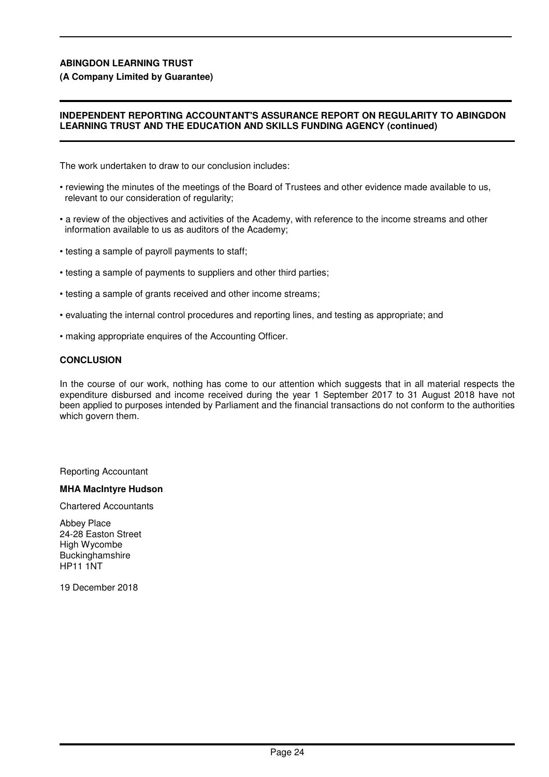#### **(A Company Limited by Guarantee)**

#### **INDEPENDENT REPORTING ACCOUNTANT'S ASSURANCE REPORT ON REGULARITY TO ABINGDON LEARNING TRUST AND THE EDUCATION AND SKILLS FUNDING AGENCY (continued)**

The work undertaken to draw to our conclusion includes:

- reviewing the minutes of the meetings of the Board of Trustees and other evidence made available to us, relevant to our consideration of regularity;
- a review of the objectives and activities of the Academy, with reference to the income streams and other information available to us as auditors of the Academy;
- testing a sample of payroll payments to staff;
- testing a sample of payments to suppliers and other third parties;
- testing a sample of grants received and other income streams;
- evaluating the internal control procedures and reporting lines, and testing as appropriate; and
- making appropriate enquires of the Accounting Officer.

#### **CONCLUSION**

In the course of our work, nothing has come to our attention which suggests that in all material respects the expenditure disbursed and income received during the year 1 September 2017 to 31 August 2018 have not been applied to purposes intended by Parliament and the financial transactions do not conform to the authorities which govern them.

Reporting Accountant

#### **MHA MacIntyre Hudson**

Chartered Accountants

Abbey Place 24-28 Easton Street High Wycombe Buckinghamshire HP11 1NT

19 December 2018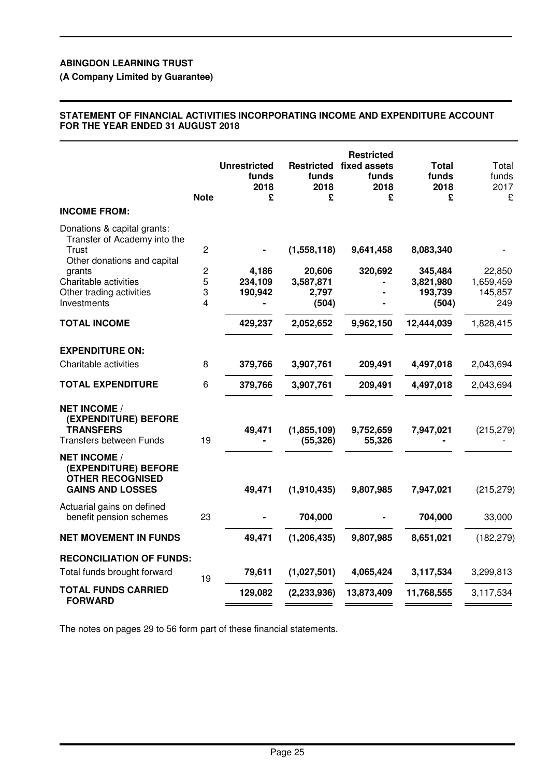# **(A Company Limited by Guarantee)**

#### **STATEMENT OF FINANCIAL ACTIVITIES INCORPORATING INCOME AND EXPENDITURE ACCOUNT FOR THE YEAR ENDED 31 AUGUST 2018**

|                                                                                                                                                                                          | <b>Note</b>                                     | <b>Unrestricted</b><br>funds<br>2018<br>£ | funds<br>2018<br>£                                   | <b>Restricted</b><br><b>Restricted fixed assets</b><br>funds<br>2018<br>£ | Total<br>funds<br>2018<br>£                           | Total<br>funds<br>2017<br>£           |
|------------------------------------------------------------------------------------------------------------------------------------------------------------------------------------------|-------------------------------------------------|-------------------------------------------|------------------------------------------------------|---------------------------------------------------------------------------|-------------------------------------------------------|---------------------------------------|
| <b>INCOME FROM:</b>                                                                                                                                                                      |                                                 |                                           |                                                      |                                                                           |                                                       |                                       |
| Donations & capital grants:<br>Transfer of Academy into the<br><b>Trust</b><br>Other donations and capital<br>grants<br>Charitable activities<br>Other trading activities<br>Investments | $\overline{c}$<br>$\overline{c}$<br>5<br>3<br>4 | 4,186<br>234,109<br>190,942               | (1,558,118)<br>20,606<br>3,587,871<br>2,797<br>(504) | 9,641,458<br>320,692                                                      | 8,083,340<br>345,484<br>3,821,980<br>193,739<br>(504) | 22,850<br>1,659,459<br>145,857<br>249 |
| <b>TOTAL INCOME</b>                                                                                                                                                                      |                                                 | 429,237                                   | 2,052,652                                            | 9,962,150                                                                 | 12,444,039                                            | 1,828,415                             |
| <b>EXPENDITURE ON:</b>                                                                                                                                                                   |                                                 |                                           |                                                      |                                                                           |                                                       |                                       |
| Charitable activities                                                                                                                                                                    | 8                                               | 379,766                                   | 3,907,761                                            | 209,491                                                                   | 4,497,018                                             | 2,043,694                             |
| <b>TOTAL EXPENDITURE</b>                                                                                                                                                                 | 6                                               | 379,766                                   | 3,907,761                                            | 209,491                                                                   | 4,497,018                                             | 2,043,694                             |
| <b>NET INCOME /</b><br>(EXPENDITURE) BEFORE<br><b>TRANSFERS</b><br><b>Transfers between Funds</b>                                                                                        | 19                                              | 49,471                                    | (1,855,109)<br>(55, 326)                             | 9,752,659<br>55,326                                                       | 7,947,021                                             | (215, 279)                            |
| <b>NET INCOME /</b><br>(EXPENDITURE) BEFORE<br><b>OTHER RECOGNISED</b><br><b>GAINS AND LOSSES</b>                                                                                        |                                                 | 49,471                                    | (1,910,435)                                          | 9,807,985                                                                 | 7,947,021                                             | (215, 279)                            |
| Actuarial gains on defined<br>benefit pension schemes                                                                                                                                    | 23                                              |                                           | 704,000                                              |                                                                           | 704,000                                               | 33,000                                |
| <b>NET MOVEMENT IN FUNDS</b>                                                                                                                                                             |                                                 | 49,471                                    | (1, 206, 435)                                        | 9,807,985                                                                 | 8,651,021                                             | (182, 279)                            |
| <b>RECONCILIATION OF FUNDS:</b>                                                                                                                                                          |                                                 |                                           |                                                      |                                                                           |                                                       |                                       |
| Total funds brought forward                                                                                                                                                              | 19                                              | 79,611                                    | (1,027,501)                                          | 4,065,424                                                                 | 3,117,534                                             | 3,299,813                             |
| <b>TOTAL FUNDS CARRIED</b><br><b>FORWARD</b>                                                                                                                                             |                                                 | 129,082                                   | (2, 233, 936)                                        | 13,873,409                                                                | 11,768,555                                            | 3,117,534                             |
|                                                                                                                                                                                          |                                                 |                                           |                                                      |                                                                           |                                                       |                                       |

The notes on pages 29 to 56 form part of these financial statements.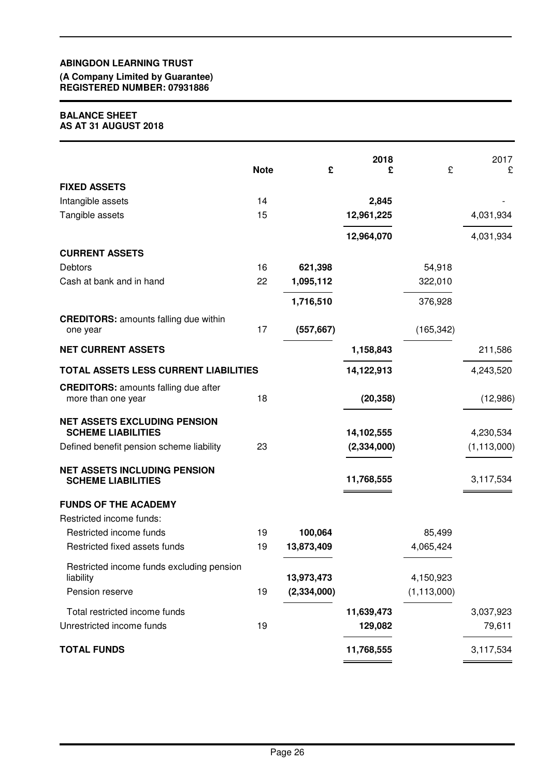#### **(A Company Limited by Guarantee) REGISTERED NUMBER: 07931886**

#### **BALANCE SHEET AS AT 31 AUGUST 2018**

|                                                                   | <b>Note</b> | £             | 2018<br>£     | £             | 2017<br>£     |
|-------------------------------------------------------------------|-------------|---------------|---------------|---------------|---------------|
| <b>FIXED ASSETS</b>                                               |             |               |               |               |               |
| Intangible assets                                                 | 14          |               | 2,845         |               |               |
| Tangible assets                                                   | 15          |               | 12,961,225    |               | 4,031,934     |
|                                                                   |             |               | 12,964,070    |               | 4,031,934     |
| <b>CURRENT ASSETS</b>                                             |             |               |               |               |               |
| Debtors                                                           | 16          | 621,398       |               | 54,918        |               |
| Cash at bank and in hand                                          | 22          | 1,095,112     |               | 322,010       |               |
|                                                                   |             | 1,716,510     |               | 376,928       |               |
| <b>CREDITORS: amounts falling due within</b><br>one year          | 17          | (557, 667)    |               | (165, 342)    |               |
| <b>NET CURRENT ASSETS</b>                                         |             |               | 1,158,843     |               | 211,586       |
| TOTAL ASSETS LESS CURRENT LIABILITIES                             |             |               | 14,122,913    |               | 4,243,520     |
| <b>CREDITORS: amounts falling due after</b><br>more than one year | 18          |               | (20, 358)     |               | (12,986)      |
| <b>NET ASSETS EXCLUDING PENSION</b><br><b>SCHEME LIABILITIES</b>  |             |               | 14,102,555    |               | 4,230,534     |
| Defined benefit pension scheme liability                          | 23          |               | (2, 334, 000) |               | (1, 113, 000) |
| <b>NET ASSETS INCLUDING PENSION</b><br><b>SCHEME LIABILITIES</b>  |             |               | 11,768,555    |               | 3,117,534     |
| <b>FUNDS OF THE ACADEMY</b>                                       |             |               |               |               |               |
| Restricted income funds:                                          |             |               |               |               |               |
| Restricted income funds                                           | 19          | 100,064       |               | 85,499        |               |
| Restricted fixed assets funds                                     | 19          | 13,873,409    |               | 4,065,424     |               |
| Restricted income funds excluding pension<br>liability            |             | 13,973,473    |               | 4,150,923     |               |
| Pension reserve                                                   | 19          | (2, 334, 000) |               | (1, 113, 000) |               |
| Total restricted income funds                                     |             |               | 11,639,473    |               | 3,037,923     |
| Unrestricted income funds                                         | 19          |               | 129,082       |               | 79,611        |
| <b>TOTAL FUNDS</b>                                                |             |               | 11,768,555    |               | 3,117,534     |
|                                                                   |             |               |               |               |               |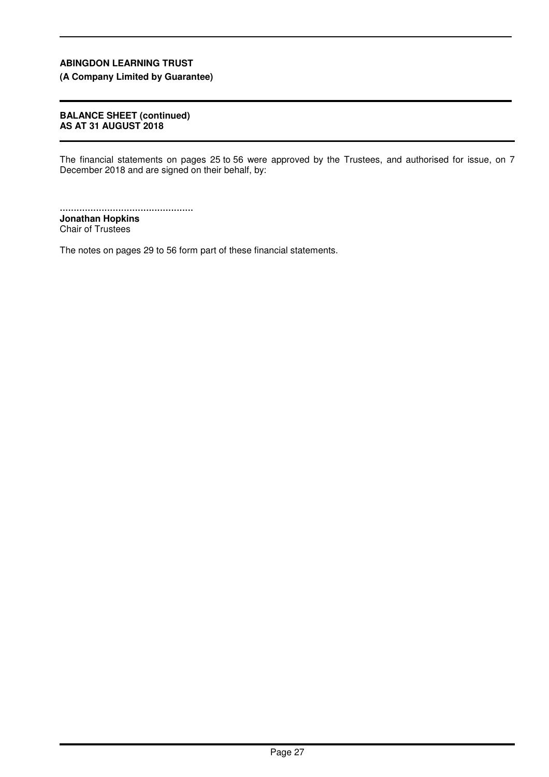**(A Company Limited by Guarantee)**

#### **BALANCE SHEET (continued) AS AT 31 AUGUST 2018**

The financial statements on pages 25 to 56 were approved by the Trustees, and authorised for issue, on 7 December 2018 and are signed on their behalf, by:

................................................ **Jonathan Hopkins** Chair of Trustees

The notes on pages 29 to 56 form part of these financial statements.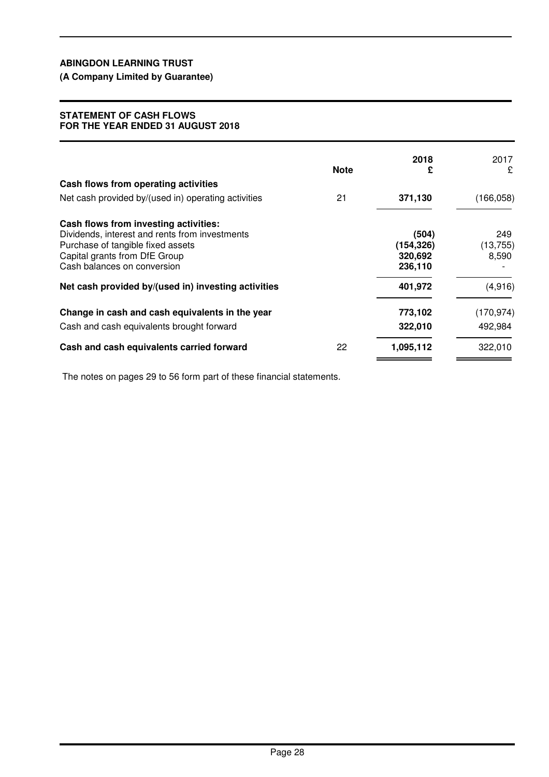**(A Company Limited by Guarantee)**

#### **STATEMENT OF CASH FLOWS FOR THE YEAR ENDED 31 AUGUST 2018**

|                                                                                                                                                                                              | <b>Note</b> | 2018<br>£                                 | 2017<br>£                 |
|----------------------------------------------------------------------------------------------------------------------------------------------------------------------------------------------|-------------|-------------------------------------------|---------------------------|
| Cash flows from operating activities                                                                                                                                                         |             |                                           |                           |
| Net cash provided by/(used in) operating activities                                                                                                                                          | 21          | 371,130                                   | (166, 058)                |
| Cash flows from investing activities:<br>Dividends, interest and rents from investments<br>Purchase of tangible fixed assets<br>Capital grants from DfE Group<br>Cash balances on conversion |             | (504)<br>(154, 326)<br>320,692<br>236,110 | 249<br>(13, 755)<br>8,590 |
| Net cash provided by/(used in) investing activities                                                                                                                                          |             | 401,972                                   | (4,916)                   |
| Change in cash and cash equivalents in the year                                                                                                                                              |             | 773,102                                   | (170, 974)                |
| Cash and cash equivalents brought forward                                                                                                                                                    |             | 322,010                                   | 492,984                   |
| Cash and cash equivalents carried forward                                                                                                                                                    | 22          | 1,095,112                                 | 322,010                   |

The notes on pages 29 to 56 form part of these financial statements.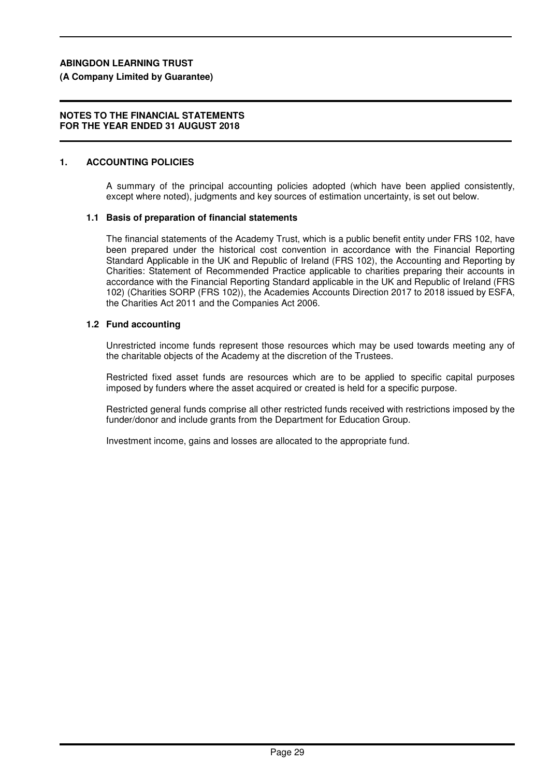# **(A Company Limited by Guarantee)**

#### **NOTES TO THE FINANCIAL STATEMENTS FOR THE YEAR ENDED 31 AUGUST 2018**

# **1. ACCOUNTING POLICIES**

A summary of the principal accounting policies adopted (which have been applied consistently, except where noted), judgments and key sources of estimation uncertainty, is set out below.

# **1.1 Basis of preparation of financial statements**

The financial statements of the Academy Trust, which is a public benefit entity under FRS 102, have been prepared under the historical cost convention in accordance with the Financial Reporting Standard Applicable in the UK and Republic of Ireland (FRS 102), the Accounting and Reporting by Charities: Statement of Recommended Practice applicable to charities preparing their accounts in accordance with the Financial Reporting Standard applicable in the UK and Republic of Ireland (FRS 102) (Charities SORP (FRS 102)), the Academies Accounts Direction 2017 to 2018 issued by ESFA, the Charities Act 2011 and the Companies Act 2006.

# **1.2 Fund accounting**

Unrestricted income funds represent those resources which may be used towards meeting any of the charitable objects of the Academy at the discretion of the Trustees.

Restricted fixed asset funds are resources which are to be applied to specific capital purposes imposed by funders where the asset acquired or created is held for a specific purpose.

Restricted general funds comprise all other restricted funds received with restrictions imposed by the funder/donor and include grants from the Department for Education Group.

Investment income, gains and losses are allocated to the appropriate fund.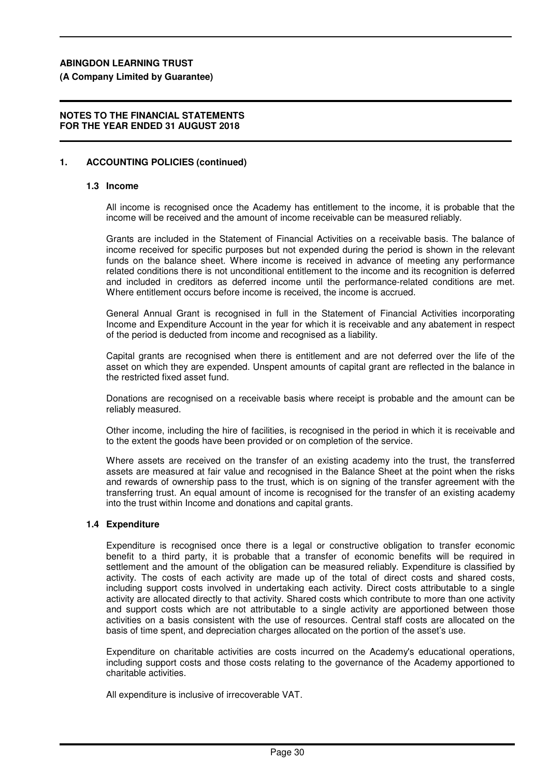**(A Company Limited by Guarantee)**

## **NOTES TO THE FINANCIAL STATEMENTS FOR THE YEAR ENDED 31 AUGUST 2018**

# **1. ACCOUNTING POLICIES (continued)**

# **1.3 Income**

All income is recognised once the Academy has entitlement to the income, it is probable that the income will be received and the amount of income receivable can be measured reliably.

Grants are included in the Statement of Financial Activities on a receivable basis. The balance of income received for specific purposes but not expended during the period is shown in the relevant funds on the balance sheet. Where income is received in advance of meeting any performance related conditions there is not unconditional entitlement to the income and its recognition is deferred and included in creditors as deferred income until the performance-related conditions are met. Where entitlement occurs before income is received, the income is accrued.

General Annual Grant is recognised in full in the Statement of Financial Activities incorporating Income and Expenditure Account in the year for which it is receivable and any abatement in respect of the period is deducted from income and recognised as a liability.

Capital grants are recognised when there is entitlement and are not deferred over the life of the asset on which they are expended. Unspent amounts of capital grant are reflected in the balance in the restricted fixed asset fund.

Donations are recognised on a receivable basis where receipt is probable and the amount can be reliably measured.

Other income, including the hire of facilities, is recognised in the period in which it is receivable and to the extent the goods have been provided or on completion of the service.

Where assets are received on the transfer of an existing academy into the trust, the transferred assets are measured at fair value and recognised in the Balance Sheet at the point when the risks and rewards of ownership pass to the trust, which is on signing of the transfer agreement with the transferring trust. An equal amount of income is recognised for the transfer of an existing academy into the trust within Income and donations and capital grants.

# **1.4 Expenditure**

Expenditure is recognised once there is a legal or constructive obligation to transfer economic benefit to a third party, it is probable that a transfer of economic benefits will be required in settlement and the amount of the obligation can be measured reliably. Expenditure is classified by activity. The costs of each activity are made up of the total of direct costs and shared costs, including support costs involved in undertaking each activity. Direct costs attributable to a single activity are allocated directly to that activity. Shared costs which contribute to more than one activity and support costs which are not attributable to a single activity are apportioned between those activities on a basis consistent with the use of resources. Central staff costs are allocated on the basis of time spent, and depreciation charges allocated on the portion of the asset's use.

Expenditure on charitable activities are costs incurred on the Academy's educational operations, including support costs and those costs relating to the governance of the Academy apportioned to charitable activities.

All expenditure is inclusive of irrecoverable VAT.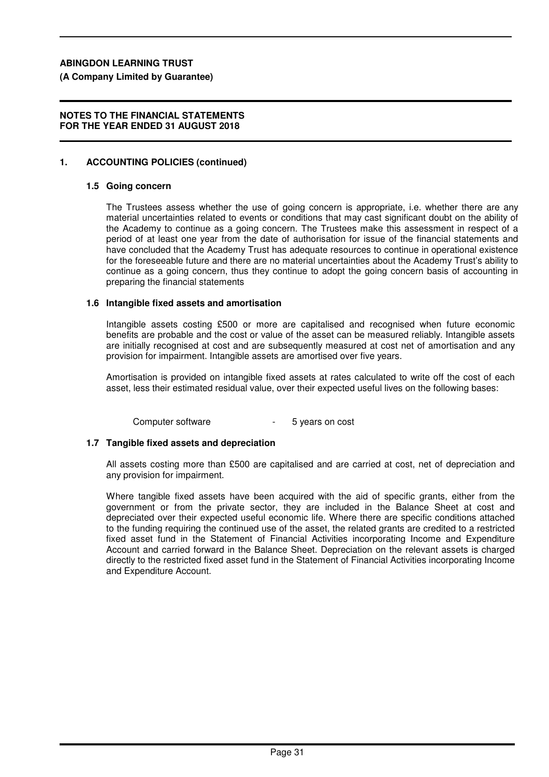**(A Company Limited by Guarantee)**

#### **NOTES TO THE FINANCIAL STATEMENTS FOR THE YEAR ENDED 31 AUGUST 2018**

#### **1. ACCOUNTING POLICIES (continued)**

#### **1.5 Going concern**

The Trustees assess whether the use of going concern is appropriate, i.e. whether there are any material uncertainties related to events or conditions that may cast significant doubt on the ability of the Academy to continue as a going concern. The Trustees make this assessment in respect of a period of at least one year from the date of authorisation for issue of the financial statements and have concluded that the Academy Trust has adequate resources to continue in operational existence for the foreseeable future and there are no material uncertainties about the Academy Trust's ability to continue as a going concern, thus they continue to adopt the going concern basis of accounting in preparing the financial statements

#### **1.6 Intangible fixed assets and amortisation**

Intangible assets costing £500 or more are capitalised and recognised when future economic benefits are probable and the cost or value of the asset can be measured reliably. Intangible assets are initially recognised at cost and are subsequently measured at cost net of amortisation and any provision for impairment. Intangible assets are amortised over five years.

Amortisation is provided on intangible fixed assets at rates calculated to write off the cost of each asset, less their estimated residual value, over their expected useful lives on the following bases:

Computer software **-** 5 years on cost

#### **1.7 Tangible fixed assets and depreciation**

All assets costing more than £500 are capitalised and are carried at cost, net of depreciation and any provision for impairment.

Where tangible fixed assets have been acquired with the aid of specific grants, either from the government or from the private sector, they are included in the Balance Sheet at cost and depreciated over their expected useful economic life. Where there are specific conditions attached to the funding requiring the continued use of the asset, the related grants are credited to a restricted fixed asset fund in the Statement of Financial Activities incorporating Income and Expenditure Account and carried forward in the Balance Sheet. Depreciation on the relevant assets is charged directly to the restricted fixed asset fund in the Statement of Financial Activities incorporating Income and Expenditure Account.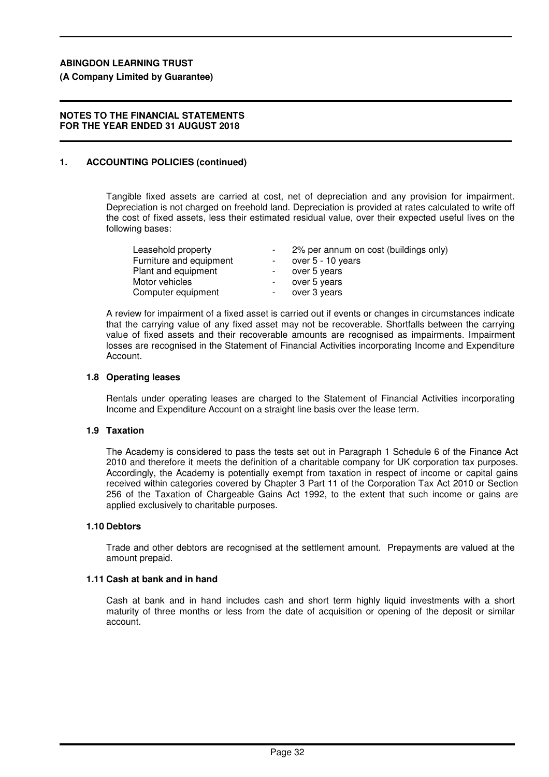**(A Company Limited by Guarantee)**

#### **NOTES TO THE FINANCIAL STATEMENTS FOR THE YEAR ENDED 31 AUGUST 2018**

#### **1. ACCOUNTING POLICIES (continued)**

Tangible fixed assets are carried at cost, net of depreciation and any provision for impairment. Depreciation is not charged on freehold land. Depreciation is provided at rates calculated to write off the cost of fixed assets, less their estimated residual value, over their expected useful lives on the following bases:

| Leasehold property      |        | 2% per annum on cost (buildings only) |
|-------------------------|--------|---------------------------------------|
| Furniture and equipment | $\sim$ | over 5 - 10 years                     |
| Plant and equipment     |        | over 5 years                          |
| Motor vehicles          | $-$    | over 5 years                          |
| Computer equipment      |        | over 3 years                          |

A review for impairment of a fixed asset is carried out if events or changes in circumstances indicate that the carrying value of any fixed asset may not be recoverable. Shortfalls between the carrying value of fixed assets and their recoverable amounts are recognised as impairments. Impairment losses are recognised in the Statement of Financial Activities incorporating Income and Expenditure Account.

#### **1.8 Operating leases**

Rentals under operating leases are charged to the Statement of Financial Activities incorporating Income and Expenditure Account on a straight line basis over the lease term.

#### **1.9 Taxation**

The Academy is considered to pass the tests set out in Paragraph 1 Schedule 6 of the Finance Act 2010 and therefore it meets the definition of a charitable company for UK corporation tax purposes. Accordingly, the Academy is potentially exempt from taxation in respect of income or capital gains received within categories covered by Chapter 3 Part 11 of the Corporation Tax Act 2010 or Section 256 of the Taxation of Chargeable Gains Act 1992, to the extent that such income or gains are applied exclusively to charitable purposes.

#### **1.10 Debtors**

Trade and other debtors are recognised at the settlement amount. Prepayments are valued at the amount prepaid.

#### **1.11 Cash at bank and in hand**

Cash at bank and in hand includes cash and short term highly liquid investments with a short maturity of three months or less from the date of acquisition or opening of the deposit or similar account.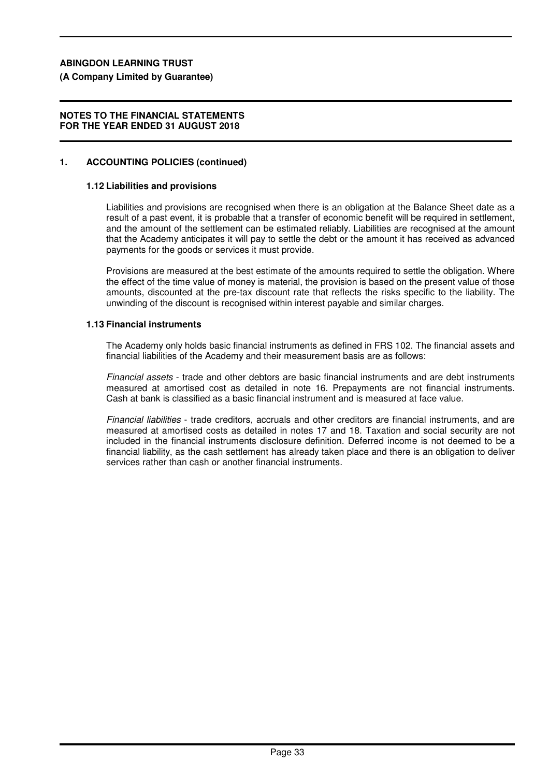**(A Company Limited by Guarantee)**

#### **NOTES TO THE FINANCIAL STATEMENTS FOR THE YEAR ENDED 31 AUGUST 2018**

#### **1. ACCOUNTING POLICIES (continued)**

#### **1.12 Liabilities and provisions**

Liabilities and provisions are recognised when there is an obligation at the Balance Sheet date as a result of a past event, it is probable that a transfer of economic benefit will be required in settlement, and the amount of the settlement can be estimated reliably. Liabilities are recognised at the amount that the Academy anticipates it will pay to settle the debt or the amount it has received as advanced payments for the goods or services it must provide.

Provisions are measured at the best estimate of the amounts required to settle the obligation. Where the effect of the time value of money is material, the provision is based on the present value of those amounts, discounted at the pre-tax discount rate that reflects the risks specific to the liability. The unwinding of the discount is recognised within interest payable and similar charges.

#### **1.13 Financial instruments**

The Academy only holds basic financial instruments as defined in FRS 102. The financial assets and financial liabilities of the Academy and their measurement basis are as follows:

Financial assets - trade and other debtors are basic financial instruments and are debt instruments measured at amortised cost as detailed in note 16. Prepayments are not financial instruments. Cash at bank is classified as a basic financial instrument and is measured at face value.

Financial liabilities - trade creditors, accruals and other creditors are financial instruments, and are measured at amortised costs as detailed in notes 17 and 18. Taxation and social security are not included in the financial instruments disclosure definition. Deferred income is not deemed to be a financial liability, as the cash settlement has already taken place and there is an obligation to deliver services rather than cash or another financial instruments.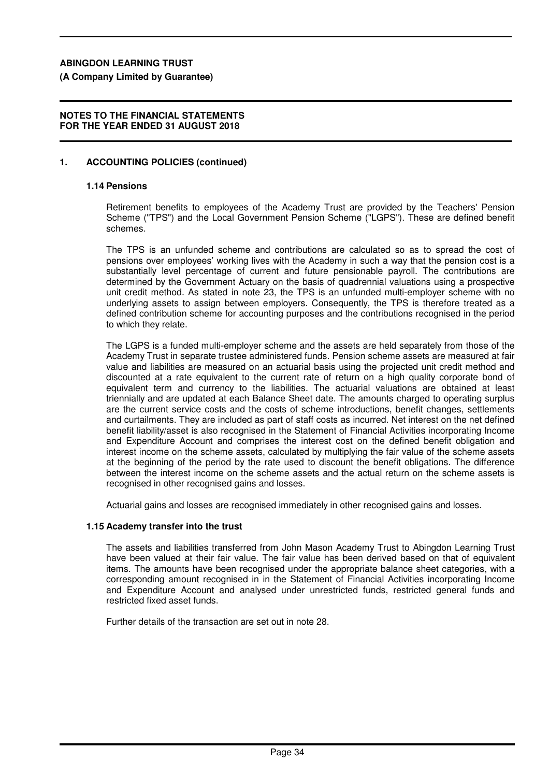**(A Company Limited by Guarantee)**

#### **NOTES TO THE FINANCIAL STATEMENTS FOR THE YEAR ENDED 31 AUGUST 2018**

#### **1. ACCOUNTING POLICIES (continued)**

#### **1.14 Pensions**

Retirement benefits to employees of the Academy Trust are provided by the Teachers' Pension Scheme ("TPS") and the Local Government Pension Scheme ("LGPS"). These are defined benefit schemes.

The TPS is an unfunded scheme and contributions are calculated so as to spread the cost of pensions over employees' working lives with the Academy in such a way that the pension cost is a substantially level percentage of current and future pensionable payroll. The contributions are determined by the Government Actuary on the basis of quadrennial valuations using a prospective unit credit method. As stated in note 23, the TPS is an unfunded multi-employer scheme with no underlying assets to assign between employers. Consequently, the TPS is therefore treated as a defined contribution scheme for accounting purposes and the contributions recognised in the period to which they relate.

The LGPS is a funded multi-employer scheme and the assets are held separately from those of the Academy Trust in separate trustee administered funds. Pension scheme assets are measured at fair value and liabilities are measured on an actuarial basis using the projected unit credit method and discounted at a rate equivalent to the current rate of return on a high quality corporate bond of equivalent term and currency to the liabilities. The actuarial valuations are obtained at least triennially and are updated at each Balance Sheet date. The amounts charged to operating surplus are the current service costs and the costs of scheme introductions, benefit changes, settlements and curtailments. They are included as part of staff costs as incurred. Net interest on the net defined benefit liability/asset is also recognised in the Statement of Financial Activities incorporating Income and Expenditure Account and comprises the interest cost on the defined benefit obligation and interest income on the scheme assets, calculated by multiplying the fair value of the scheme assets at the beginning of the period by the rate used to discount the benefit obligations. The difference between the interest income on the scheme assets and the actual return on the scheme assets is recognised in other recognised gains and losses.

Actuarial gains and losses are recognised immediately in other recognised gains and losses.

#### **1.15 Academy transfer into the trust**

The assets and liabilities transferred from John Mason Academy Trust to Abingdon Learning Trust have been valued at their fair value. The fair value has been derived based on that of equivalent items. The amounts have been recognised under the appropriate balance sheet categories, with a corresponding amount recognised in in the Statement of Financial Activities incorporating Income and Expenditure Account and analysed under unrestricted funds, restricted general funds and restricted fixed asset funds.

Further details of the transaction are set out in note 28.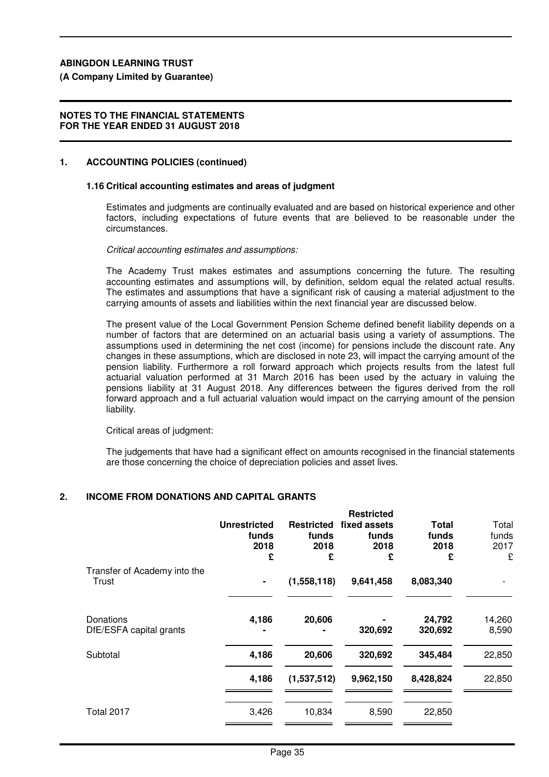# **(A Company Limited by Guarantee)**

## **NOTES TO THE FINANCIAL STATEMENTS FOR THE YEAR ENDED 31 AUGUST 2018**

# **1. ACCOUNTING POLICIES (continued)**

# **1.16 Critical accounting estimates and areas of judgment**

Estimates and judgments are continually evaluated and are based on historical experience and other factors, including expectations of future events that are believed to be reasonable under the circumstances.

Critical accounting estimates and assumptions:

The Academy Trust makes estimates and assumptions concerning the future. The resulting accounting estimates and assumptions will, by definition, seldom equal the related actual results. The estimates and assumptions that have a significant risk of causing a material adjustment to the carrying amounts of assets and liabilities within the next financial year are discussed below.

The present value of the Local Government Pension Scheme defined benefit liability depends on a number of factors that are determined on an actuarial basis using a variety of assumptions. The assumptions used in determining the net cost (income) for pensions include the discount rate. Any changes in these assumptions, which are disclosed in note 23, will impact the carrying amount of the pension liability. Furthermore a roll forward approach which projects results from the latest full actuarial valuation performed at 31 March 2016 has been used by the actuary in valuing the pensions liability at 31 August 2018. Any differences between the figures derived from the roll forward approach and a full actuarial valuation would impact on the carrying amount of the pension liability.

Critical areas of judgment:

The judgements that have had a significant effect on amounts recognised in the financial statements are those concerning the choice of depreciation policies and asset lives.

# **2. INCOME FROM DONATIONS AND CAPITAL GRANTS**

|                                       | <b>Unrestricted</b><br>funds<br>2018<br>£ | <b>Restricted</b><br>funds<br>2018<br>£ | <b>Restricted</b><br>fixed assets<br>funds<br>2018<br>£ | Total<br>funds<br>2018<br>£ | Total<br>funds<br>2017<br>£ |
|---------------------------------------|-------------------------------------------|-----------------------------------------|---------------------------------------------------------|-----------------------------|-----------------------------|
| Transfer of Academy into the<br>Trust | ۰                                         | (1,558,118)                             | 9,641,458                                               | 8,083,340                   |                             |
| Donations<br>DfE/ESFA capital grants  | 4,186                                     | 20,606                                  | 320,692                                                 | 24,792<br>320,692           | 14,260<br>8,590             |
| Subtotal                              | 4,186                                     | 20,606                                  | 320,692                                                 | 345,484                     | 22,850                      |
|                                       | 4,186                                     | (1,537,512)                             | 9,962,150                                               | 8,428,824                   | 22,850                      |
| Total 2017                            | 3,426                                     | 10,834                                  | 8,590                                                   | 22,850                      |                             |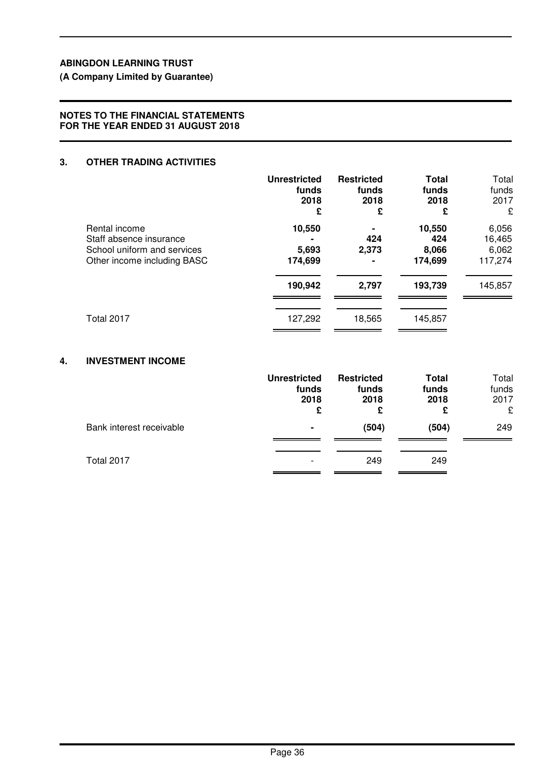**(A Company Limited by Guarantee)**

### **NOTES TO THE FINANCIAL STATEMENTS FOR THE YEAR ENDED 31 AUGUST 2018**

## **3. OTHER TRADING ACTIVITIES**

|                                                                                                        | <b>Unrestricted</b><br>funds<br>2018<br>£ | <b>Restricted</b><br>funds<br>2018<br>£ | <b>Total</b><br>funds<br>2018<br>£ | Total<br>funds<br>2017<br>£         |
|--------------------------------------------------------------------------------------------------------|-------------------------------------------|-----------------------------------------|------------------------------------|-------------------------------------|
| Rental income<br>Staff absence insurance<br>School uniform and services<br>Other income including BASC | 10,550<br>5,693<br>174,699                | ٠<br>424<br>2,373<br>$\blacksquare$     | 10,550<br>424<br>8,066<br>174,699  | 6,056<br>16,465<br>6,062<br>117,274 |
|                                                                                                        | 190,942                                   | 2,797                                   | 193,739                            | 145,857                             |
| Total 2017                                                                                             | 127,292                                   | 18,565                                  | 145,857                            |                                     |

# **4. INVESTMENT INCOME**

|                          | <b>Unrestricted</b><br>funds<br>2018<br>£ | <b>Restricted</b><br>funds<br>2018<br>£ | Total<br>funds<br>2018<br>£ | Total<br>funds<br>2017<br>£ |
|--------------------------|-------------------------------------------|-----------------------------------------|-----------------------------|-----------------------------|
| Bank interest receivable | ۰                                         | (504)                                   | (504)                       | 249                         |
| Total 2017               |                                           | 249                                     | 249                         |                             |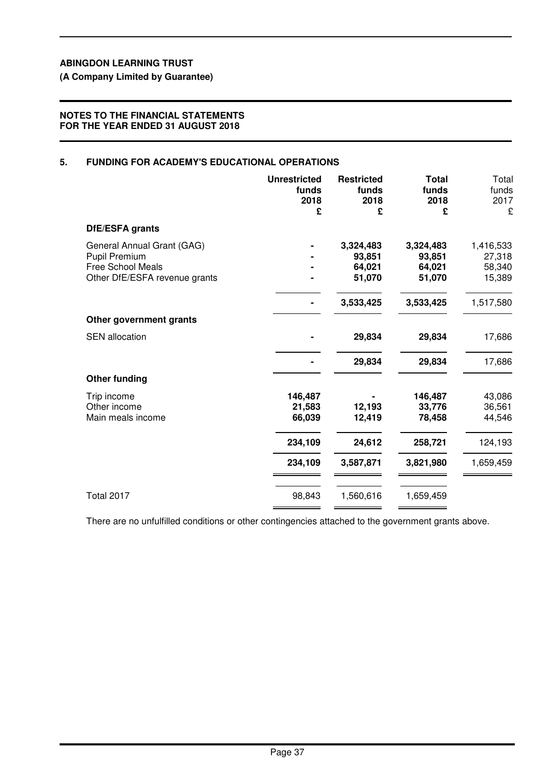**(A Company Limited by Guarantee)**

### **NOTES TO THE FINANCIAL STATEMENTS FOR THE YEAR ENDED 31 AUGUST 2018**

# **5. FUNDING FOR ACADEMY'S EDUCATIONAL OPERATIONS**

|                                                           | <b>Unrestricted</b><br>funds<br>2018<br>£ | <b>Restricted</b><br>funds<br>2018<br>£ | <b>Total</b><br>funds<br>2018<br>£ | Total<br>funds<br>2017<br>£ |
|-----------------------------------------------------------|-------------------------------------------|-----------------------------------------|------------------------------------|-----------------------------|
| DfE/ESFA grants                                           |                                           |                                         |                                    |                             |
| General Annual Grant (GAG)                                |                                           | 3,324,483                               | 3,324,483                          | 1,416,533                   |
| <b>Pupil Premium</b>                                      |                                           | 93,851                                  | 93,851                             | 27,318                      |
| <b>Free School Meals</b><br>Other DfE/ESFA revenue grants |                                           | 64,021<br>51,070                        | 64,021<br>51,070                   | 58,340<br>15,389            |
|                                                           |                                           |                                         |                                    |                             |
|                                                           |                                           | 3,533,425                               | 3,533,425                          | 1,517,580                   |
| Other government grants                                   |                                           |                                         |                                    |                             |
| <b>SEN</b> allocation                                     |                                           | 29,834                                  | 29,834                             | 17,686                      |
|                                                           |                                           | 29,834                                  | 29,834                             | 17,686                      |
| <b>Other funding</b>                                      |                                           |                                         |                                    |                             |
| Trip income                                               | 146,487                                   |                                         | 146,487                            | 43,086                      |
| Other income                                              | 21,583                                    | 12,193                                  | 33,776                             | 36,561                      |
| Main meals income                                         | 66,039                                    | 12,419                                  | 78,458                             | 44,546                      |
|                                                           | 234,109                                   | 24,612                                  | 258,721                            | 124,193                     |
|                                                           | 234,109                                   | 3,587,871                               | 3,821,980                          | 1,659,459                   |
|                                                           |                                           |                                         |                                    |                             |
| <b>Total 2017</b>                                         | 98,843                                    | 1,560,616                               | 1,659,459                          |                             |

There are no unfulfilled conditions or other contingencies attached to the government grants above.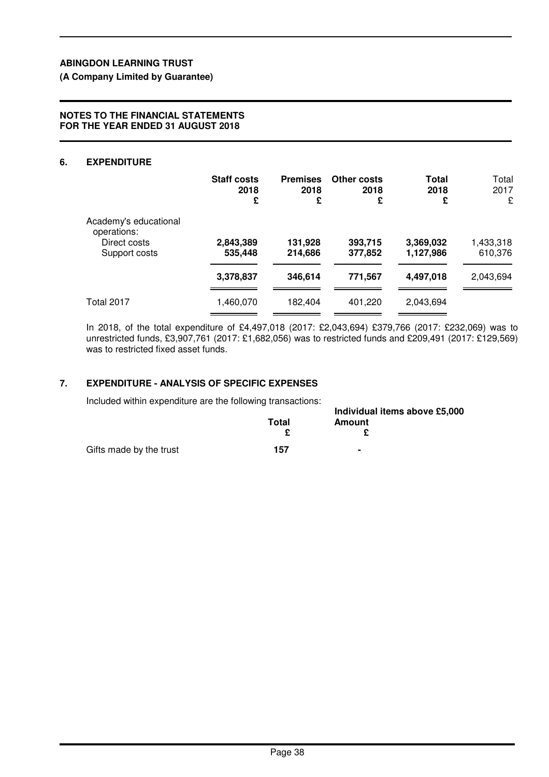**(A Company Limited by Guarantee)**

#### **NOTES TO THE FINANCIAL STATEMENTS FOR THE YEAR ENDED 31 AUGUST 2018**

#### **6. EXPENDITURE**

|                                                                       | <b>Staff costs</b><br>2018<br>£ | <b>Premises</b><br>2018<br>£ | Other costs<br>2018<br>£ | Total<br>2018<br>£     | Total<br>2017<br>£   |
|-----------------------------------------------------------------------|---------------------------------|------------------------------|--------------------------|------------------------|----------------------|
| Academy's educational<br>operations:<br>Direct costs<br>Support costs | 2,843,389<br>535,448            | 131,928<br>214,686           | 393,715<br>377,852       | 3,369,032<br>1,127,986 | 1,433,318<br>610,376 |
|                                                                       | 3,378,837                       | 346,614                      | 771,567                  | 4,497,018              | 2,043,694            |
| <b>Total 2017</b>                                                     | 1,460,070                       | 182,404                      | 401,220                  | 2,043,694              |                      |

In 2018, of the total expenditure of £4,497,018 (2017: £2,043,694) £379,766 (2017: £232,069) was to unrestricted funds, £3,907,761 (2017: £1,682,056) was to restricted funds and £209,491 (2017: £129,569) was to restricted fixed asset funds.

### **7. EXPENDITURE - ANALYSIS OF SPECIFIC EXPENSES**

Included within expenditure are the following transactions:

| Included within expenditure are the following transactions: |       |                                         |  |
|-------------------------------------------------------------|-------|-----------------------------------------|--|
|                                                             | Total | Individual items above £5,000<br>Amount |  |
| Gifts made by the trust                                     | 157   | ۰                                       |  |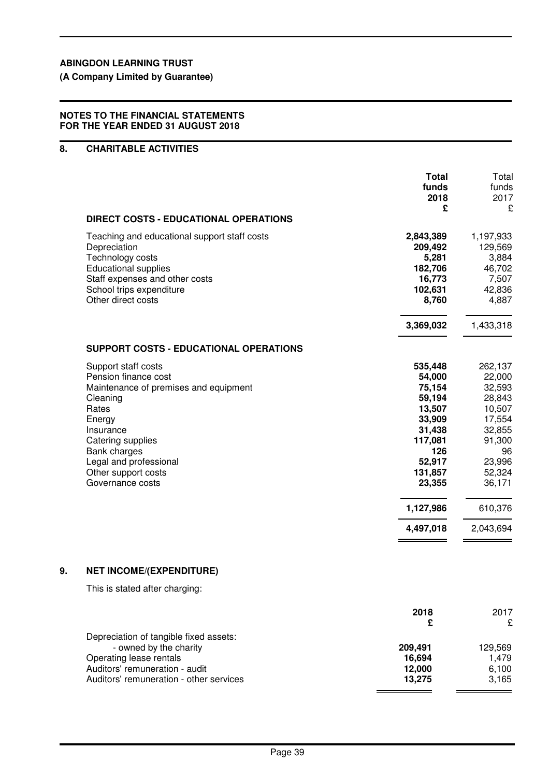**(A Company Limited by Guarantee)**

#### **NOTES TO THE FINANCIAL STATEMENTS FOR THE YEAR ENDED 31 AUGUST 2018**

# **8. CHARITABLE ACTIVITIES**

|    |                                                                                                                                                                                                                                            | <b>Total</b><br>funds<br>2018<br>£                                                                                                             | Total<br>funds<br>2017<br>£                                                                                                               |
|----|--------------------------------------------------------------------------------------------------------------------------------------------------------------------------------------------------------------------------------------------|------------------------------------------------------------------------------------------------------------------------------------------------|-------------------------------------------------------------------------------------------------------------------------------------------|
|    | <b>DIRECT COSTS - EDUCATIONAL OPERATIONS</b>                                                                                                                                                                                               |                                                                                                                                                |                                                                                                                                           |
|    | Teaching and educational support staff costs<br>Depreciation<br>Technology costs<br><b>Educational supplies</b><br>Staff expenses and other costs<br>School trips expenditure<br>Other direct costs                                        | 2,843,389<br>209,492<br>5,281<br>182,706<br>16,773<br>102,631<br>8,760                                                                         | 1,197,933<br>129,569<br>3,884<br>46,702<br>7,507<br>42,836<br>4,887                                                                       |
|    |                                                                                                                                                                                                                                            | 3,369,032                                                                                                                                      | 1,433,318                                                                                                                                 |
|    | SUPPORT COSTS - EDUCATIONAL OPERATIONS                                                                                                                                                                                                     |                                                                                                                                                |                                                                                                                                           |
|    | Support staff costs<br>Pension finance cost<br>Maintenance of premises and equipment<br>Cleaning<br>Rates<br>Energy<br>Insurance<br>Catering supplies<br>Bank charges<br>Legal and professional<br>Other support costs<br>Governance costs | 535,448<br>54,000<br>75,154<br>59,194<br>13,507<br>33,909<br>31,438<br>117,081<br>126<br>52,917<br>131,857<br>23,355<br>1,127,986<br>4,497,018 | 262,137<br>22,000<br>32,593<br>28,843<br>10,507<br>17,554<br>32,855<br>91,300<br>96<br>23,996<br>52,324<br>36,171<br>610,376<br>2,043,694 |
| 9. | <b>NET INCOME/(EXPENDITURE)</b>                                                                                                                                                                                                            |                                                                                                                                                |                                                                                                                                           |
|    | This is stated after charging:                                                                                                                                                                                                             |                                                                                                                                                |                                                                                                                                           |
|    |                                                                                                                                                                                                                                            | 2018<br>£                                                                                                                                      | 2017<br>£                                                                                                                                 |
|    | Depreciation of tangible fixed assets:                                                                                                                                                                                                     |                                                                                                                                                |                                                                                                                                           |
|    | - owned by the charity<br>Operating lease rentals                                                                                                                                                                                          | 209,491<br>16,694                                                                                                                              | 129,569<br>1,479                                                                                                                          |
|    | Auditors' remuneration - audit                                                                                                                                                                                                             | 12,000                                                                                                                                         | 6,100                                                                                                                                     |
|    | Auditors' remuneration - other services                                                                                                                                                                                                    | 13,275                                                                                                                                         | 3,165                                                                                                                                     |

 $=$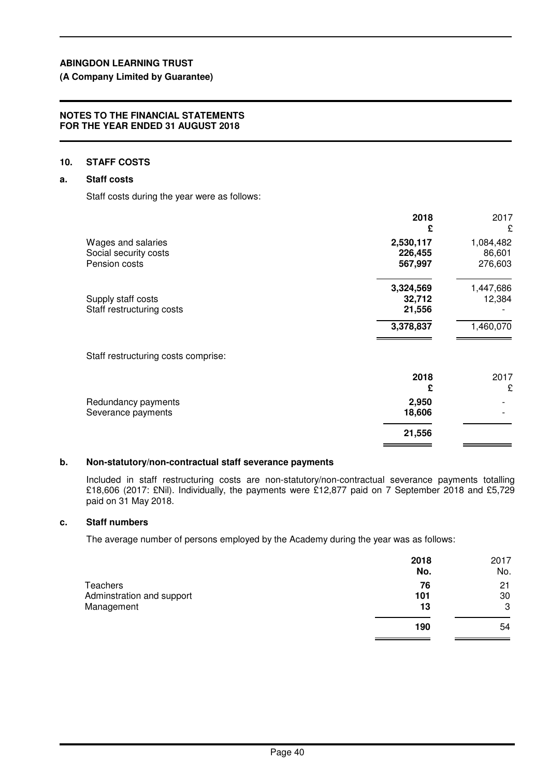**(A Company Limited by Guarantee)**

#### **NOTES TO THE FINANCIAL STATEMENTS FOR THE YEAR ENDED 31 AUGUST 2018**

#### **10. STAFF COSTS**

#### **a. Staff costs**

Staff costs during the year were as follows:

|                                                              | 2018<br>£                       | 2017<br>£                      |
|--------------------------------------------------------------|---------------------------------|--------------------------------|
| Wages and salaries<br>Social security costs<br>Pension costs | 2,530,117<br>226,455<br>567,997 | 1,084,482<br>86,601<br>276,603 |
| Supply staff costs<br>Staff restructuring costs              | 3,324,569<br>32,712<br>21,556   | 1,447,686<br>12,384            |
|                                                              | 3,378,837                       | 1,460,070                      |
| Staff restructuring costs comprise:                          |                                 |                                |
|                                                              | 2018<br>£                       | 2017<br>£                      |
| Redundancy payments<br>Severance payments                    | 2,950<br>18,606                 |                                |
|                                                              | 21,556                          |                                |

### **b. Non-statutory/non-contractual staff severance payments**

Included in staff restructuring costs are non-statutory/non-contractual severance payments totalling £18,606 (2017: £Nil). Individually, the payments were £12,877 paid on 7 September 2018 and £5,729 paid on 31 May 2018.

## **c. Staff numbers**

The average number of persons employed by the Academy during the year was as follows:

|                           | 2018<br>No. | 2017<br>No. |
|---------------------------|-------------|-------------|
| Teachers                  | 76          | 21          |
| Adminstration and support | 101         | 30          |
| Management                | 13          | 3           |
|                           | 190         | 54          |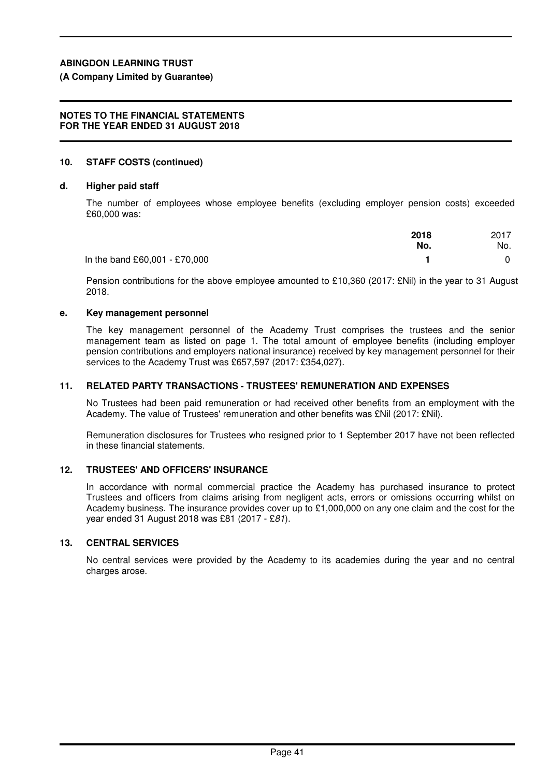**(A Company Limited by Guarantee)**

### **NOTES TO THE FINANCIAL STATEMENTS FOR THE YEAR ENDED 31 AUGUST 2018**

# **10. STAFF COSTS (continued)**

# **d. Higher paid staff**

The number of employees whose employee benefits (excluding employer pension costs) exceeded £60,000 was:

|                               | 2018<br>No. | 2017<br>No. |
|-------------------------------|-------------|-------------|
| In the band £60,001 - £70,000 |             |             |

Pension contributions for the above employee amounted to £10,360 (2017: £Nil) in the year to 31 August 2018.

# **e. Key management personnel**

The key management personnel of the Academy Trust comprises the trustees and the senior management team as listed on page 1. The total amount of employee benefits (including employer pension contributions and employers national insurance) received by key management personnel for their services to the Academy Trust was £657,597 (2017: £354,027).

# **11. RELATED PARTY TRANSACTIONS - TRUSTEES' REMUNERATION AND EXPENSES**

No Trustees had been paid remuneration or had received other benefits from an employment with the Academy. The value of Trustees' remuneration and other benefits was £Nil (2017: £Nil).

Remuneration disclosures for Trustees who resigned prior to 1 September 2017 have not been reflected in these financial statements.

# **12. TRUSTEES' AND OFFICERS' INSURANCE**

In accordance with normal commercial practice the Academy has purchased insurance to protect Trustees and officers from claims arising from negligent acts, errors or omissions occurring whilst on Academy business. The insurance provides cover up to £1,000,000 on any one claim and the cost for the year ended 31 August 2018 was £81 (2017 - £81).

# **13. CENTRAL SERVICES**

No central services were provided by the Academy to its academies during the year and no central charges arose.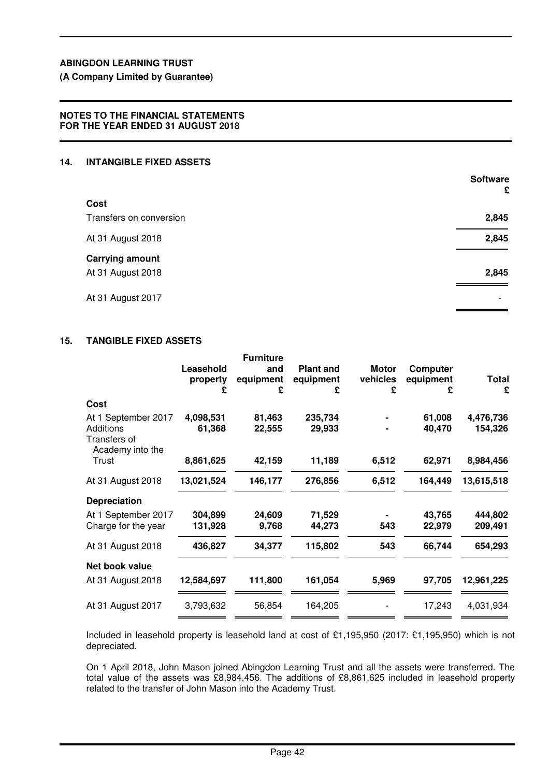**(A Company Limited by Guarantee)**

# **NOTES TO THE FINANCIAL STATEMENTS FOR THE YEAR ENDED 31 AUGUST 2018**

# **14. INTANGIBLE FIXED ASSETS**

|                                             | <b>Software</b><br>£     |
|---------------------------------------------|--------------------------|
| Cost                                        |                          |
| Transfers on conversion                     | 2,845                    |
| At 31 August 2018                           | 2,845                    |
| <b>Carrying amount</b><br>At 31 August 2018 | 2,845                    |
| At 31 August 2017                           | $\overline{\phantom{a}}$ |

## **15. TANGIBLE FIXED ASSETS**

|                                               | Leasehold<br>property<br>£ | <b>Furniture</b><br>and<br>equipment<br>£ | <b>Plant and</b><br>equipment<br>£ | <b>Motor</b><br>vehicles<br>£ | <b>Computer</b><br>equipment<br>£ | <b>Total</b><br>£ |
|-----------------------------------------------|----------------------------|-------------------------------------------|------------------------------------|-------------------------------|-----------------------------------|-------------------|
| Cost                                          |                            |                                           |                                    |                               |                                   |                   |
| At 1 September 2017                           | 4,098,531                  | 81,463                                    | 235,734                            |                               | 61,008                            | 4,476,736         |
| Additions<br>Transfers of<br>Academy into the | 61,368                     | 22,555                                    | 29,933                             |                               | 40,470                            | 154,326           |
| Trust                                         | 8,861,625                  | 42,159                                    | 11,189                             | 6,512                         | 62,971                            | 8,984,456         |
| At 31 August 2018                             | 13,021,524                 | 146,177                                   | 276,856                            | 6,512                         | 164,449                           | 13,615,518        |
| <b>Depreciation</b>                           |                            |                                           |                                    |                               |                                   |                   |
| At 1 September 2017                           | 304,899                    | 24,609                                    | 71,529                             |                               | 43,765                            | 444,802           |
| Charge for the year                           | 131,928                    | 9,768                                     | 44,273                             | 543                           | 22,979                            | 209,491           |
| At 31 August 2018                             | 436,827                    | 34,377                                    | 115,802                            | 543                           | 66,744                            | 654,293           |
| Net book value                                |                            |                                           |                                    |                               |                                   |                   |
| At 31 August 2018                             | 12,584,697                 | 111,800                                   | 161,054                            | 5,969                         | 97,705                            | 12,961,225        |
| At 31 August 2017                             | 3,793,632                  | 56,854                                    | 164,205                            |                               | 17,243                            | 4,031,934         |
|                                               |                            |                                           |                                    |                               |                                   |                   |

Included in leasehold property is leasehold land at cost of £1,195,950 (2017: £1,195,950) which is not depreciated.

On 1 April 2018, John Mason joined Abingdon Learning Trust and all the assets were transferred. The total value of the assets was £8,984,456. The additions of £8,861,625 included in leasehold property related to the transfer of John Mason into the Academy Trust.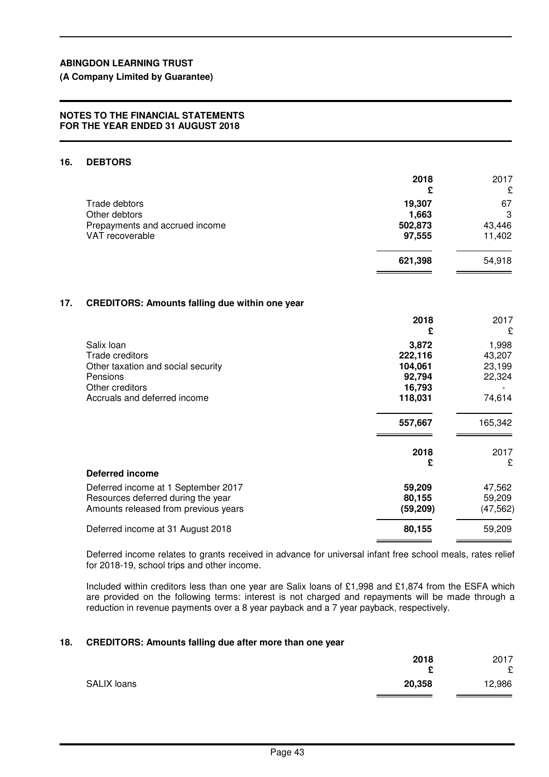# **(A Company Limited by Guarantee)**

### **NOTES TO THE FINANCIAL STATEMENTS FOR THE YEAR ENDED 31 AUGUST 2018**

# **16. DEBTORS**

|                                | 2018<br>£ | 2017<br>£ |
|--------------------------------|-----------|-----------|
| Trade debtors                  | 19,307    | 67        |
| Other debtors                  | 1,663     | 3         |
| Prepayments and accrued income | 502,873   | 43,446    |
| VAT recoverable                | 97,555    | 11,402    |
|                                | 621,398   | 54,918    |

#### **17. CREDITORS: Amounts falling due within one year**

|                                      | 2018<br>£ | 2017<br>£ |
|--------------------------------------|-----------|-----------|
| Salix Ioan                           | 3,872     | 1,998     |
| Trade creditors                      | 222,116   | 43,207    |
| Other taxation and social security   | 104,061   | 23,199    |
| Pensions                             | 92,794    | 22,324    |
| Other creditors                      | 16,793    |           |
| Accruals and deferred income         | 118,031   | 74,614    |
|                                      | 557,667   | 165,342   |
|                                      | 2018      | 2017      |
|                                      | £         | £         |
| <b>Deferred income</b>               |           |           |
| Deferred income at 1 September 2017  | 59,209    | 47,562    |
| Resources deferred during the year   | 80,155    | 59,209    |
| Amounts released from previous years | (59, 209) | (47, 562) |
| Deferred income at 31 August 2018    | 80,155    | 59,209    |

Deferred income relates to grants received in advance for universal infant free school meals, rates relief for 2018-19, school trips and other income.

Included within creditors less than one year are Salix loans of £1,998 and £1,874 from the ESFA which are provided on the following terms: interest is not charged and repayments will be made through a reduction in revenue payments over a 8 year payback and a 7 year payback, respectively.

#### **18. CREDITORS: Amounts falling due after more than one year**

|             | 2018<br>£ | 2017<br>£ |
|-------------|-----------|-----------|
| SALIX loans | 20,358    | 12,986    |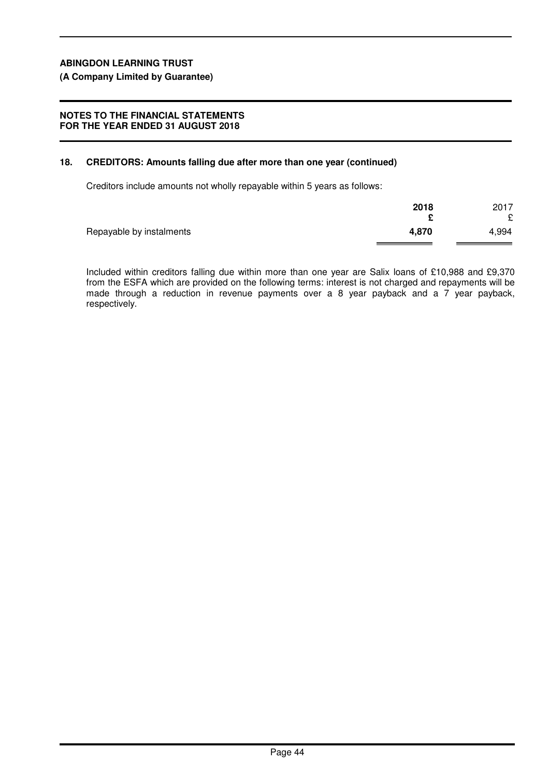#### **(A Company Limited by Guarantee)**

#### **NOTES TO THE FINANCIAL STATEMENTS FOR THE YEAR ENDED 31 AUGUST 2018**

#### **18. CREDITORS: Amounts falling due after more than one year (continued)**

Creditors include amounts not wholly repayable within 5 years as follows:

|                          | 2018  | 2017  |
|--------------------------|-------|-------|
|                          |       | £     |
| Repayable by instalments | 4,870 | 4,994 |
|                          |       |       |

Included within creditors falling due within more than one year are Salix loans of £10,988 and £9,370 from the ESFA which are provided on the following terms: interest is not charged and repayments will be made through a reduction in revenue payments over a 8 year payback and a 7 year payback, respectively.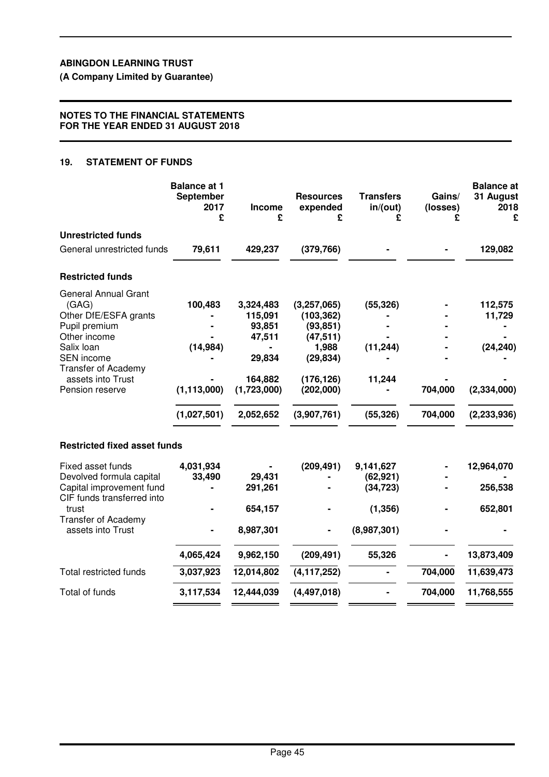**(A Company Limited by Guarantee)**

#### **NOTES TO THE FINANCIAL STATEMENTS FOR THE YEAR ENDED 31 AUGUST 2018**

### **19. STATEMENT OF FUNDS**

|                                                                                                                                                                                                         | <b>Balance at 1</b><br><b>September</b><br>2017<br>£ | Income<br>£                                                                               | <b>Resources</b><br>expended<br>£                                                                                   | <b>Transfers</b><br>in/(out)<br>£               | Gains/<br>(losses)<br>£ | <b>Balance</b> at<br>31 August<br>2018<br>£                      |
|---------------------------------------------------------------------------------------------------------------------------------------------------------------------------------------------------------|------------------------------------------------------|-------------------------------------------------------------------------------------------|---------------------------------------------------------------------------------------------------------------------|-------------------------------------------------|-------------------------|------------------------------------------------------------------|
| <b>Unrestricted funds</b>                                                                                                                                                                               |                                                      |                                                                                           |                                                                                                                     |                                                 |                         |                                                                  |
| General unrestricted funds                                                                                                                                                                              | 79,611                                               | 429,237                                                                                   | (379, 766)                                                                                                          |                                                 |                         | 129,082                                                          |
| <b>Restricted funds</b>                                                                                                                                                                                 |                                                      |                                                                                           |                                                                                                                     |                                                 |                         |                                                                  |
| <b>General Annual Grant</b><br>(GAG)<br>Other DfE/ESFA grants<br>Pupil premium<br>Other income<br>Salix loan<br><b>SEN</b> income<br><b>Transfer of Academy</b><br>assets into Trust<br>Pension reserve | 100,483<br>(14, 984)<br>(1, 113, 000)<br>(1,027,501) | 3,324,483<br>115,091<br>93,851<br>47,511<br>29,834<br>164,882<br>(1,723,000)<br>2,052,652 | (3,257,065)<br>(103, 362)<br>(93, 851)<br>(47, 511)<br>1,988<br>(29, 834)<br>(176, 126)<br>(202,000)<br>(3,907,761) | (55, 326)<br>(11, 244)<br>11,244<br>(55, 326)   | 704,000<br>704,000      | 112,575<br>11,729<br>(24, 240)<br>(2, 334, 000)<br>(2, 233, 936) |
| <b>Restricted fixed asset funds</b>                                                                                                                                                                     |                                                      |                                                                                           |                                                                                                                     |                                                 |                         |                                                                  |
| Fixed asset funds<br>Devolved formula capital<br>Capital improvement fund<br>CIF funds transferred into<br>trust<br><b>Transfer of Academy</b>                                                          | 4,031,934<br>33,490                                  | 29,431<br>291,261<br>654,157                                                              | (209, 491)                                                                                                          | 9,141,627<br>(62, 921)<br>(34, 723)<br>(1, 356) |                         | 12,964,070<br>256,538<br>652,801                                 |
| assets into Trust                                                                                                                                                                                       |                                                      | 8,987,301                                                                                 |                                                                                                                     | (8,987,301)                                     |                         |                                                                  |
|                                                                                                                                                                                                         | 4,065,424                                            | 9,962,150                                                                                 | (209, 491)                                                                                                          | 55,326                                          |                         | 13,873,409                                                       |
| <b>Total restricted funds</b>                                                                                                                                                                           | 3,037,923                                            | 12,014,802                                                                                | (4, 117, 252)                                                                                                       |                                                 | 704,000                 | 11,639,473                                                       |
| Total of funds                                                                                                                                                                                          | 3,117,534                                            | 12,444,039                                                                                | (4, 497, 018)                                                                                                       |                                                 | 704,000                 | 11,768,555                                                       |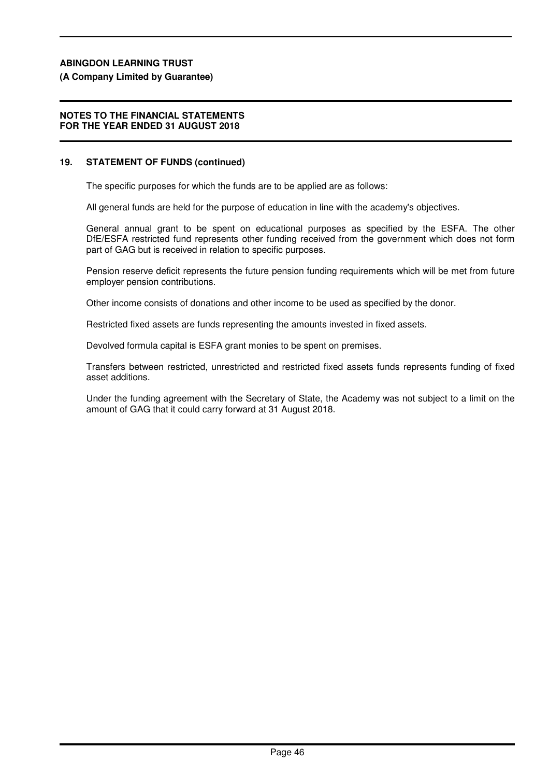#### **(A Company Limited by Guarantee)**

#### **NOTES TO THE FINANCIAL STATEMENTS FOR THE YEAR ENDED 31 AUGUST 2018**

#### **19. STATEMENT OF FUNDS (continued)**

The specific purposes for which the funds are to be applied are as follows:

All general funds are held for the purpose of education in line with the academy's objectives.

General annual grant to be spent on educational purposes as specified by the ESFA. The other DfE/ESFA restricted fund represents other funding received from the government which does not form part of GAG but is received in relation to specific purposes.

Pension reserve deficit represents the future pension funding requirements which will be met from future employer pension contributions.

Other income consists of donations and other income to be used as specified by the donor.

Restricted fixed assets are funds representing the amounts invested in fixed assets.

Devolved formula capital is ESFA grant monies to be spent on premises.

Transfers between restricted, unrestricted and restricted fixed assets funds represents funding of fixed asset additions.

Under the funding agreement with the Secretary of State, the Academy was not subject to a limit on the amount of GAG that it could carry forward at 31 August 2018.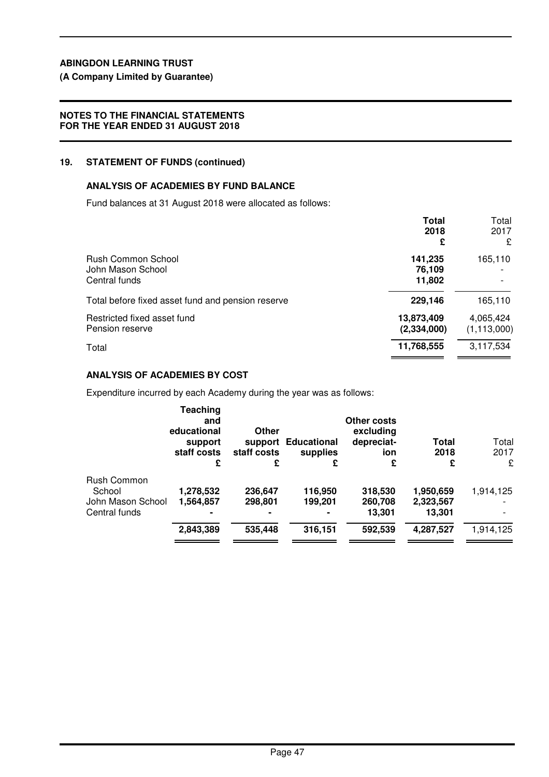# **(A Company Limited by Guarantee)**

# **NOTES TO THE FINANCIAL STATEMENTS FOR THE YEAR ENDED 31 AUGUST 2018**

# **19. STATEMENT OF FUNDS (continued)**

# **ANALYSIS OF ACADEMIES BY FUND BALANCE**

Fund balances at 31 August 2018 were allocated as follows:

|                                                          | <b>Total</b><br>2018<br>£   | Total<br>2017<br>£         |
|----------------------------------------------------------|-----------------------------|----------------------------|
| Rush Common School<br>John Mason School<br>Central funds | 141,235<br>76,109<br>11,802 | 165,110                    |
| Total before fixed asset fund and pension reserve        | 229,146                     | 165,110                    |
| Restricted fixed asset fund<br>Pension reserve           | 13,873,409<br>(2, 334, 000) | 4,065,424<br>(1, 113, 000) |
| Total                                                    | 11,768,555                  | 3,117,534                  |

# **ANALYSIS OF ACADEMIES BY COST**

Expenditure incurred by each Academy during the year was as follows:

|                   | <b>Teaching</b><br>and<br>educational<br>support<br>staff costs<br>£ | Other<br>staff costs<br>£ | support Educational<br>supplies<br>£ | Other costs<br>excluding<br>depreciat-<br>ion<br>£ | <b>Total</b><br>2018<br>£ | Total<br>2017<br>£ |
|-------------------|----------------------------------------------------------------------|---------------------------|--------------------------------------|----------------------------------------------------|---------------------------|--------------------|
| Rush Common       |                                                                      |                           |                                      |                                                    |                           |                    |
| School            | 1,278,532                                                            | 236,647                   | 116,950                              | 318,530                                            | 1,950,659                 | 1,914,125          |
| John Mason School | 1,564,857                                                            | 298,801                   | 199,201                              | 260,708                                            | 2,323,567                 |                    |
| Central funds     |                                                                      |                           | $\blacksquare$                       | 13,301                                             | 13,301                    |                    |
|                   | 2,843,389                                                            | 535,448                   | 316,151                              | 592,539                                            | 4,287,527                 | 1,914,125          |
|                   |                                                                      |                           |                                      |                                                    |                           |                    |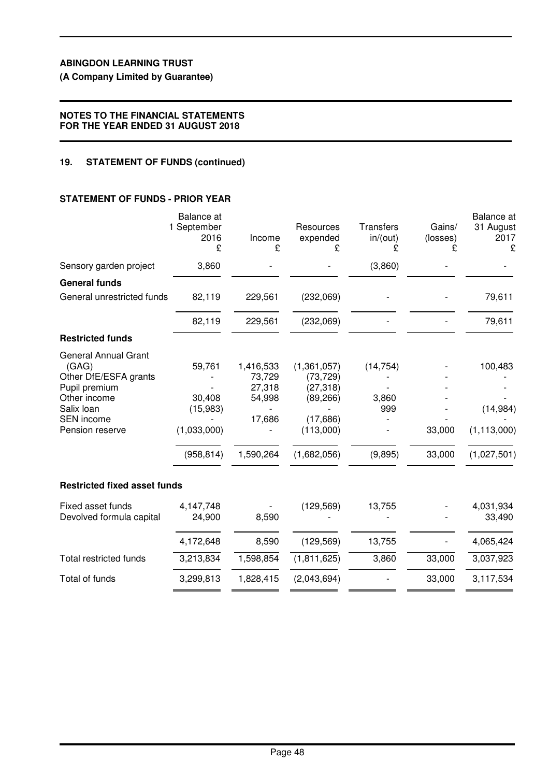**(A Company Limited by Guarantee)**

#### **NOTES TO THE FINANCIAL STATEMENTS FOR THE YEAR ENDED 31 AUGUST 2018**

### **19. STATEMENT OF FUNDS (continued)**

# **STATEMENT OF FUNDS - PRIOR YEAR**

|                                                                                                                                                      | Balance at<br>1 September<br>2016<br>£                    | Income<br>£                                                    | Resources<br>expended<br>£                                                                 | <b>Transfers</b><br>in/(out)<br>£    | Gains/<br>(losses) | Balance at<br>31 August<br>2017<br>£                 |
|------------------------------------------------------------------------------------------------------------------------------------------------------|-----------------------------------------------------------|----------------------------------------------------------------|--------------------------------------------------------------------------------------------|--------------------------------------|--------------------|------------------------------------------------------|
| Sensory garden project                                                                                                                               | 3,860                                                     |                                                                |                                                                                            | (3,860)                              |                    |                                                      |
| <b>General funds</b>                                                                                                                                 |                                                           |                                                                |                                                                                            |                                      |                    |                                                      |
| General unrestricted funds                                                                                                                           | 82,119                                                    | 229,561                                                        | (232,069)                                                                                  |                                      |                    | 79,611                                               |
|                                                                                                                                                      | 82,119                                                    | 229,561                                                        | (232,069)                                                                                  |                                      |                    | 79,611                                               |
| <b>Restricted funds</b>                                                                                                                              |                                                           |                                                                |                                                                                            |                                      |                    |                                                      |
| <b>General Annual Grant</b><br>(GAG)<br>Other DfE/ESFA grants<br>Pupil premium<br>Other income<br>Salix loan<br><b>SEN</b> income<br>Pension reserve | 59,761<br>30,408<br>(15,983)<br>(1,033,000)<br>(958, 814) | 1,416,533<br>73,729<br>27,318<br>54,998<br>17,686<br>1,590,264 | (1,361,057)<br>(73, 729)<br>(27, 318)<br>(89, 266)<br>(17,686)<br>(113,000)<br>(1,682,056) | (14, 754)<br>3,860<br>999<br>(9,895) | 33,000<br>33,000   | 100,483<br>(14, 984)<br>(1, 113, 000)<br>(1,027,501) |
| <b>Restricted fixed asset funds</b>                                                                                                                  |                                                           |                                                                |                                                                                            |                                      |                    |                                                      |
| Fixed asset funds<br>Devolved formula capital                                                                                                        | 4,147,748<br>24,900                                       | 8,590                                                          | (129, 569)                                                                                 | 13,755                               |                    | 4,031,934<br>33,490                                  |
|                                                                                                                                                      | 4,172,648                                                 | 8,590                                                          | (129, 569)                                                                                 | 13,755                               |                    | 4,065,424                                            |
| <b>Total restricted funds</b>                                                                                                                        | 3,213,834                                                 | 1,598,854                                                      | (1,811,625)                                                                                | 3,860                                | 33,000             | 3,037,923                                            |
| Total of funds                                                                                                                                       | 3,299,813                                                 | 1,828,415                                                      | (2,043,694)                                                                                |                                      | 33,000             | 3,117,534                                            |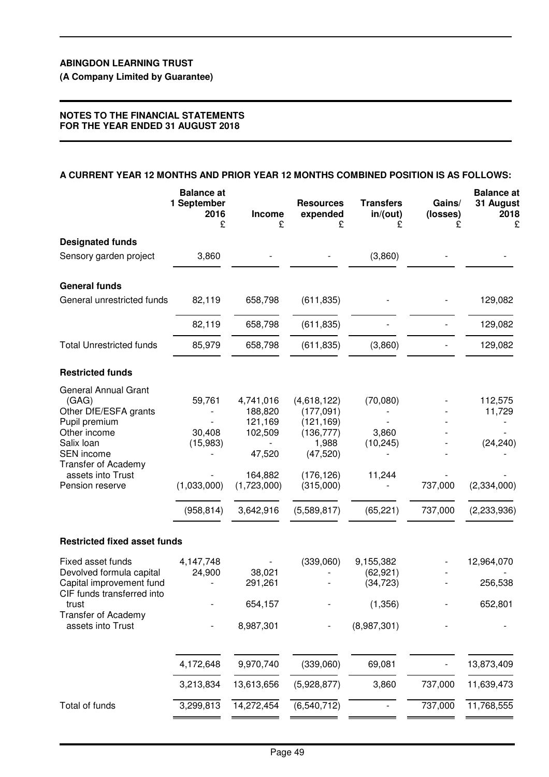**(A Company Limited by Guarantee)**

### **NOTES TO THE FINANCIAL STATEMENTS FOR THE YEAR ENDED 31 AUGUST 2018**

#### **A CURRENT YEAR 12 MONTHS AND PRIOR YEAR 12 MONTHS COMBINED POSITION IS AS FOLLOWS:**

|                                                                                                                                                                                                  | <b>Balance at</b><br>1 September<br>2016<br>£             | Income<br>£                                                                                 | <b>Resources</b><br>expended<br>£                                                                                    | <b>Transfers</b><br>in/(out)<br>£                              | Gains/<br>(losses)<br>£ | <b>Balance</b> at<br>31 August<br>2018<br>£                  |
|--------------------------------------------------------------------------------------------------------------------------------------------------------------------------------------------------|-----------------------------------------------------------|---------------------------------------------------------------------------------------------|----------------------------------------------------------------------------------------------------------------------|----------------------------------------------------------------|-------------------------|--------------------------------------------------------------|
| <b>Designated funds</b>                                                                                                                                                                          |                                                           |                                                                                             |                                                                                                                      |                                                                |                         |                                                              |
| Sensory garden project                                                                                                                                                                           | 3,860                                                     |                                                                                             |                                                                                                                      | (3,860)                                                        |                         |                                                              |
| <b>General funds</b>                                                                                                                                                                             |                                                           |                                                                                             |                                                                                                                      |                                                                |                         |                                                              |
| General unrestricted funds                                                                                                                                                                       | 82,119                                                    | 658,798                                                                                     | (611, 835)                                                                                                           |                                                                |                         | 129,082                                                      |
|                                                                                                                                                                                                  | 82,119                                                    | 658,798                                                                                     | (611, 835)                                                                                                           |                                                                |                         | 129,082                                                      |
| <b>Total Unrestricted funds</b>                                                                                                                                                                  | 85,979                                                    | 658,798                                                                                     | (611, 835)                                                                                                           | (3,860)                                                        |                         | 129,082                                                      |
| <b>Restricted funds</b>                                                                                                                                                                          |                                                           |                                                                                             |                                                                                                                      |                                                                |                         |                                                              |
| <b>General Annual Grant</b><br>(GAG)<br>Other DfE/ESFA grants<br>Pupil premium<br>Other income<br>Salix loan<br>SEN income<br><b>Transfer of Academy</b><br>assets into Trust<br>Pension reserve | 59,761<br>30,408<br>(15,983)<br>(1,033,000)<br>(958, 814) | 4,741,016<br>188,820<br>121,169<br>102,509<br>47,520<br>164,882<br>(1,723,000)<br>3,642,916 | (4,618,122)<br>(177,091)<br>(121, 169)<br>(136, 777)<br>1,988<br>(47, 520)<br>(176, 126)<br>(315,000)<br>(5,589,817) | (70,080)<br>3,860<br>(10, 245)<br>11,244<br>(65, 221)          | 737,000<br>737,000      | 112,575<br>11,729<br>(24, 240)<br>(2,334,000)<br>(2,233,936) |
| <b>Restricted fixed asset funds</b>                                                                                                                                                              |                                                           |                                                                                             |                                                                                                                      |                                                                |                         |                                                              |
| Fixed asset funds<br>Devolved formula capital<br>Capital improvement fund<br>CIF funds transferred into<br>trust<br><b>Transfer of Academy</b><br>assets into Trust                              | 4,147,748<br>24,900                                       | 38,021<br>291,261<br>654,157<br>8,987,301                                                   | (339,060)                                                                                                            | 9,155,382<br>(62, 921)<br>(34, 723)<br>(1, 356)<br>(8,987,301) |                         | 12,964,070<br>256,538<br>652,801                             |
|                                                                                                                                                                                                  |                                                           |                                                                                             |                                                                                                                      |                                                                |                         |                                                              |
|                                                                                                                                                                                                  | 4,172,648                                                 | 9,970,740                                                                                   | (339,060)                                                                                                            | 69,081                                                         |                         | 13,873,409                                                   |
|                                                                                                                                                                                                  | 3,213,834                                                 | 13,613,656                                                                                  | (5,928,877)                                                                                                          | 3,860                                                          | 737,000                 | 11,639,473                                                   |
| Total of funds                                                                                                                                                                                   | 3,299,813                                                 | 14,272,454                                                                                  | (6, 540, 712)                                                                                                        |                                                                | 737,000                 | 11,768,555                                                   |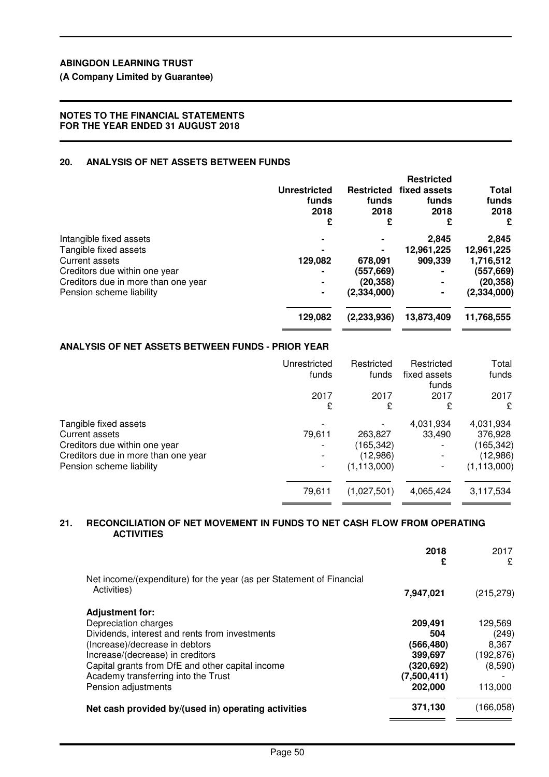**(A Company Limited by Guarantee)**

### **NOTES TO THE FINANCIAL STATEMENTS FOR THE YEAR ENDED 31 AUGUST 2018**

### **20. ANALYSIS OF NET ASSETS BETWEEN FUNDS**

|                                     |                     |                   | <b>Restricted</b> |               |
|-------------------------------------|---------------------|-------------------|-------------------|---------------|
|                                     | <b>Unrestricted</b> | <b>Restricted</b> | fixed assets      | Total         |
|                                     | funds               | funds             | funds             | funds         |
|                                     | 2018                | 2018              | 2018              | 2018          |
|                                     | £                   | £                 | £                 | £             |
| Intangible fixed assets             |                     |                   | 2.845             | 2,845         |
| Tangible fixed assets               |                     |                   | 12,961,225        | 12,961,225    |
| Current assets                      | 129,082             | 678,091           | 909.339           | 1,716,512     |
| Creditors due within one year       |                     | (557, 669)        |                   | (557,669)     |
| Creditors due in more than one year | ۰                   | (20, 358)         |                   | (20, 358)     |
| Pension scheme liability            | ۰                   | (2, 334, 000)     |                   | (2, 334, 000) |
|                                     | 129,082             | (2,233,936)       | 13,873,409        | 11,768,555    |
|                                     |                     |                   |                   |               |

### **ANALYSIS OF NET ASSETS BETWEEN FUNDS - PRIOR YEAR**

|                                                                                                                                                    | Unrestricted<br>funds | Restricted<br>funds                               | Restricted<br>fixed assets<br>funds | Total<br>funds                                                 |
|----------------------------------------------------------------------------------------------------------------------------------------------------|-----------------------|---------------------------------------------------|-------------------------------------|----------------------------------------------------------------|
|                                                                                                                                                    | 2017<br>£             | 2017<br>£                                         | 2017<br>£                           | 2017<br>£                                                      |
| Tangible fixed assets<br><b>Current assets</b><br>Creditors due within one year<br>Creditors due in more than one year<br>Pension scheme liability | 79,611<br>-           | 263,827<br>(165,342)<br>(12,986)<br>(1, 113, 000) | 4,031,934<br>33,490                 | 4,031,934<br>376,928<br>(165,342)<br>(12,986)<br>(1, 113, 000) |
|                                                                                                                                                    | 79,611                | (1,027,501)                                       | 4,065,424                           | 3,117,534                                                      |

#### **21. RECONCILIATION OF NET MOVEMENT IN FUNDS TO NET CASH FLOW FROM OPERATING ACTIVITIES**

|                                                                                                                                                                                                                                                                                          | 2018<br>£                                                                     | 2017<br>£                                                     |
|------------------------------------------------------------------------------------------------------------------------------------------------------------------------------------------------------------------------------------------------------------------------------------------|-------------------------------------------------------------------------------|---------------------------------------------------------------|
| Net income/(expenditure) for the year (as per Statement of Financial<br>Activities)                                                                                                                                                                                                      | 7,947,021                                                                     | (215, 279)                                                    |
| <b>Adjustment for:</b><br>Depreciation charges<br>Dividends, interest and rents from investments<br>(Increase)/decrease in debtors<br>Increase/(decrease) in creditors<br>Capital grants from DfE and other capital income<br>Academy transferring into the Trust<br>Pension adjustments | 209,491<br>504<br>(566,480)<br>399,697<br>(320,692)<br>(7,500,411)<br>202,000 | 129,569<br>(249)<br>8.367<br>(192, 876)<br>(8,590)<br>113,000 |
| Net cash provided by/(used in) operating activities                                                                                                                                                                                                                                      | 371,130                                                                       | (166, 058)                                                    |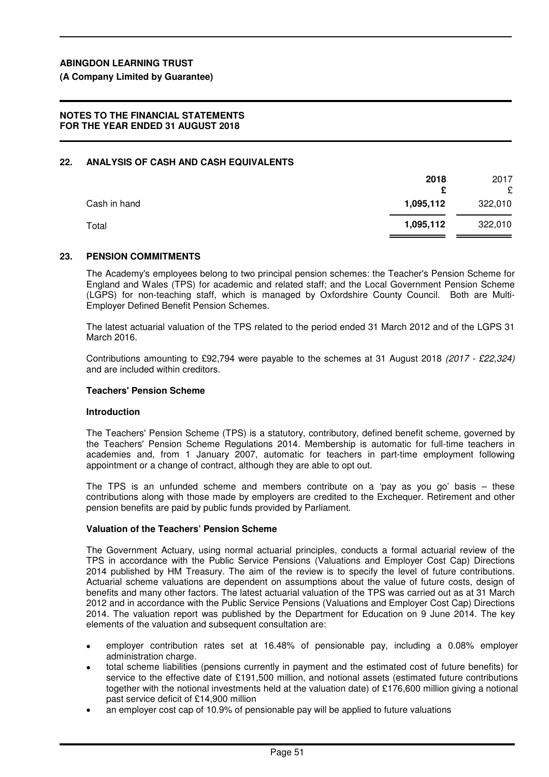**(A Company Limited by Guarantee)**

#### **NOTES TO THE FINANCIAL STATEMENTS FOR THE YEAR ENDED 31 AUGUST 2018**

#### **22. ANALYSIS OF CASH AND CASH EQUIVALENTS**

|              | 2018<br>e | 2017<br>£ |
|--------------|-----------|-----------|
| Cash in hand | 1,095,112 | 322,010   |
| Total        | 1,095,112 | 322,010   |

#### **23. PENSION COMMITMENTS**

The Academy's employees belong to two principal pension schemes: the Teacher's Pension Scheme for England and Wales (TPS) for academic and related staff; and the Local Government Pension Scheme (LGPS) for non-teaching staff, which is managed by Oxfordshire County Council. Both are Multi-Employer Defined Benefit Pension Schemes.

The latest actuarial valuation of the TPS related to the period ended 31 March 2012 and of the LGPS 31 March 2016.

Contributions amounting to £92,794 were payable to the schemes at 31 August 2018 (2017 - £22,324) and are included within creditors.

#### **Teachers' Pension Scheme**

#### **Introduction**

The Teachers' Pension Scheme (TPS) is a statutory, contributory, defined benefit scheme, governed by the Teachers' Pension Scheme Regulations 2014. Membership is automatic for full-time teachers in academies and, from 1 January 2007, automatic for teachers in part-time employment following appointment or a change of contract, although they are able to opt out.

The TPS is an unfunded scheme and members contribute on a 'pay as you go' basis – these contributions along with those made by employers are credited to the Exchequer. Retirement and other pension benefits are paid by public funds provided by Parliament.

#### **Valuation of the Teachers' Pension Scheme**

The Government Actuary, using normal actuarial principles, conducts a formal actuarial review of the TPS in accordance with the Public Service Pensions (Valuations and Employer Cost Cap) Directions 2014 published by HM Treasury. The aim of the review is to specify the level of future contributions. Actuarial scheme valuations are dependent on assumptions about the value of future costs, design of benefits and many other factors. The latest actuarial valuation of the TPS was carried out as at 31 March 2012 and in accordance with the Public Service Pensions (Valuations and Employer Cost Cap) Directions 2014. The valuation report was published by the Department for Education on 9 June 2014. The key elements of the valuation and subsequent consultation are:

- employer contribution rates set at 16.48% of pensionable pay, including a 0.08% employer administration charge.
- total scheme liabilities (pensions currently in payment and the estimated cost of future benefits) for service to the effective date of £191,500 million, and notional assets (estimated future contributions together with the notional investments held at the valuation date) of £176,600 million giving a notional past service deficit of £14,900 million
- an employer cost cap of 10.9% of pensionable pay will be applied to future valuations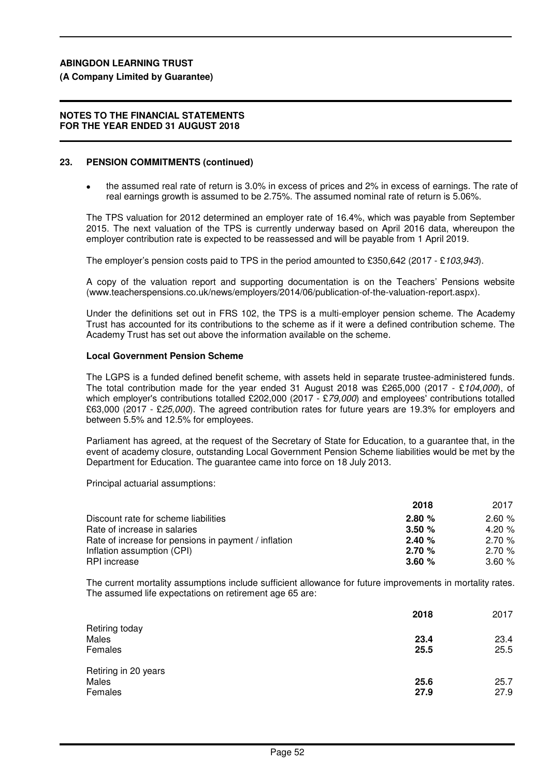# **(A Company Limited by Guarantee)**

#### **NOTES TO THE FINANCIAL STATEMENTS FOR THE YEAR ENDED 31 AUGUST 2018**

# **23. PENSION COMMITMENTS (continued)**

• the assumed real rate of return is 3.0% in excess of prices and 2% in excess of earnings. The rate of real earnings growth is assumed to be 2.75%. The assumed nominal rate of return is 5.06%.

The TPS valuation for 2012 determined an employer rate of 16.4%, which was payable from September 2015. The next valuation of the TPS is currently underway based on April 2016 data, whereupon the employer contribution rate is expected to be reassessed and will be payable from 1 April 2019.

The employer's pension costs paid to TPS in the period amounted to £350,642 (2017 - £103,943).

A copy of the valuation report and supporting documentation is on the Teachers' Pensions website (www.teacherspensions.co.uk/news/employers/2014/06/publication-of-the-valuation-report.aspx).

Under the definitions set out in FRS 102, the TPS is a multi-employer pension scheme. The Academy Trust has accounted for its contributions to the scheme as if it were a defined contribution scheme. The Academy Trust has set out above the information available on the scheme.

# **Local Government Pension Scheme**

The LGPS is a funded defined benefit scheme, with assets held in separate trustee-administered funds. The total contribution made for the year ended 31 August 2018 was £265,000 (2017 - £104,000), of which employer's contributions totalled £202,000 (2017 - £79,000) and employees' contributions totalled £63,000 (2017 - £25,000). The agreed contribution rates for future years are 19.3% for employers and between 5.5% and 12.5% for employees.

Parliament has agreed, at the request of the Secretary of State for Education, to a guarantee that, in the event of academy closure, outstanding Local Government Pension Scheme liabilities would be met by the Department for Education. The guarantee came into force on 18 July 2013.

Principal actuarial assumptions:

|                                                      | 2018  | 2017     |
|------------------------------------------------------|-------|----------|
| Discount rate for scheme liabilities                 | 2.80% | 2.60%    |
| Rate of increase in salaries                         | 3.50% | 4.20 $%$ |
| Rate of increase for pensions in payment / inflation | 2.40% | 2.70%    |
| Inflation assumption (CPI)                           | 2.70% | 2.70%    |
| RPI increase                                         | 3.60% | 3.60%    |

The current mortality assumptions include sufficient allowance for future improvements in mortality rates. The assumed life expectations on retirement age 65 are:

|                                          | 2018         | 2017         |
|------------------------------------------|--------------|--------------|
| Retiring today<br>Males<br>Females       | 23.4<br>25.5 | 23.4<br>25.5 |
| Retiring in 20 years<br>Males<br>Females | 25.6<br>27.9 | 25.7<br>27.9 |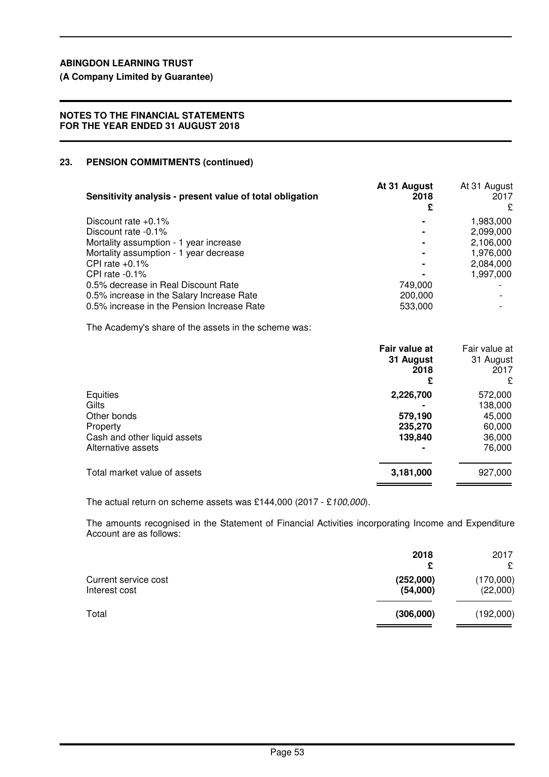**(A Company Limited by Guarantee)**

## **NOTES TO THE FINANCIAL STATEMENTS FOR THE YEAR ENDED 31 AUGUST 2018**

# **23. PENSION COMMITMENTS (continued)**

| Sensitivity analysis - present value of total obligation | At 31 August<br>2018<br>£ | At 31 August<br>2017<br>£ |
|----------------------------------------------------------|---------------------------|---------------------------|
| Discount rate $+0.1\%$                                   |                           | 1,983,000                 |
| Discount rate -0.1%                                      |                           | 2,099,000                 |
| Mortality assumption - 1 year increase                   |                           | 2,106,000                 |
| Mortality assumption - 1 year decrease                   |                           | 1,976,000                 |
| CPI rate $+0.1\%$                                        |                           | 2,084,000                 |
| CPI rate $-0.1\%$                                        |                           | 1,997,000                 |
| 0.5% decrease in Real Discount Rate                      | 749.000                   |                           |
| 0.5% increase in the Salary Increase Rate                | 200,000                   |                           |
| 0.5% increase in the Pension Increase Rate               | 533,000                   |                           |

The Academy's share of the assets in the scheme was:

|                              | Fair value at<br>31 August<br>2018<br>£ | Fair value at<br>31 August<br>2017<br>£ |
|------------------------------|-----------------------------------------|-----------------------------------------|
| Equities                     | 2,226,700                               | 572,000                                 |
| Gilts                        |                                         | 138,000                                 |
| Other bonds                  | 579,190                                 | 45,000                                  |
| Property                     | 235,270                                 | 60,000                                  |
| Cash and other liquid assets | 139,840                                 | 36,000                                  |
| Alternative assets           |                                         | 76,000                                  |
| Total market value of assets | 3,181,000                               | 927,000                                 |

The actual return on scheme assets was £144,000 (2017 - £100,000).

The amounts recognised in the Statement of Financial Activities incorporating Income and Expenditure Account are as follows:

| 2018      | 2017      |
|-----------|-----------|
| £         | £         |
| (252,000) | (170,000) |
| (54,000)  | (22,000)  |
| (306,000) | (192,000) |
|           |           |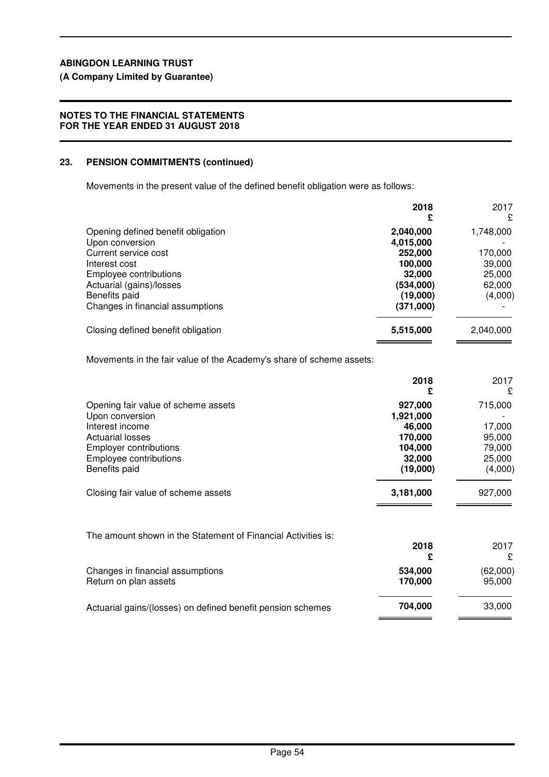# **(A Company Limited by Guarantee)**

## **NOTES TO THE FINANCIAL STATEMENTS FOR THE YEAR ENDED 31 AUGUST 2018**

# **23. PENSION COMMITMENTS (continued)**

Movements in the present value of the defined benefit obligation were as follows:

|                                                                                                                                                                                                           | 2018<br>£                                                                                    | 2017<br>£                                                     |
|-----------------------------------------------------------------------------------------------------------------------------------------------------------------------------------------------------------|----------------------------------------------------------------------------------------------|---------------------------------------------------------------|
| Opening defined benefit obligation<br>Upon conversion<br>Current service cost<br>Interest cost<br>Employee contributions<br>Actuarial (gains)/losses<br>Benefits paid<br>Changes in financial assumptions | 2,040,000<br>4,015,000<br>252,000<br>100,000<br>32,000<br>(534,000)<br>(19,000)<br>(371,000) | 1,748,000<br>170,000<br>39,000<br>25,000<br>62,000<br>(4,000) |
| Closing defined benefit obligation                                                                                                                                                                        | 5,515,000                                                                                    | 2,040,000                                                     |

Movements in the fair value of the Academy's share of scheme assets:

|                                                                                                                                                                                  | 2018<br>£                                                                  | 2017<br>£                                                  |
|----------------------------------------------------------------------------------------------------------------------------------------------------------------------------------|----------------------------------------------------------------------------|------------------------------------------------------------|
| Opening fair value of scheme assets<br>Upon conversion<br>Interest income<br><b>Actuarial losses</b><br><b>Employer contributions</b><br>Employee contributions<br>Benefits paid | 927,000<br>1,921,000<br>46,000<br>170,000<br>104.000<br>32,000<br>(19,000) | 715,000<br>17,000<br>95,000<br>79,000<br>25,000<br>(4,000) |
| Closing fair value of scheme assets                                                                                                                                              | 3,181,000                                                                  | 927,000                                                    |
| The amount shown in the Statement of Financial Activities is:                                                                                                                    | 0.10                                                                       | $\sim\sim\sim$                                             |

|                                                             | 2018               | 2017<br>£          |
|-------------------------------------------------------------|--------------------|--------------------|
| Changes in financial assumptions<br>Return on plan assets   | 534,000<br>170.000 | (62,000)<br>95,000 |
| Actuarial gains/(losses) on defined benefit pension schemes | 704.000            | 33,000             |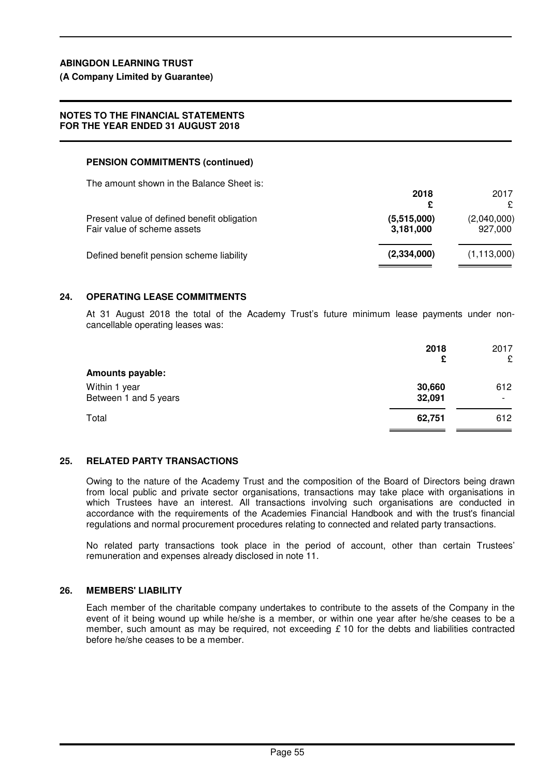# **(A Company Limited by Guarantee)**

### **NOTES TO THE FINANCIAL STATEMENTS FOR THE YEAR ENDED 31 AUGUST 2018**

# **PENSION COMMITMENTS (continued)**

The amount shown in the Balance Sheet is:

|                                                                            | 2018                     | 2017<br>£              |
|----------------------------------------------------------------------------|--------------------------|------------------------|
| Present value of defined benefit obligation<br>Fair value of scheme assets | (5,515,000)<br>3,181,000 | (2,040,000)<br>927,000 |
| Defined benefit pension scheme liability                                   | (2,334,000)              | (1, 113, 000)          |

### **24. OPERATING LEASE COMMITMENTS**

At 31 August 2018 the total of the Academy Trust's future minimum lease payments under noncancellable operating leases was:

| 2018<br>£                                                  | 2017<br>£                       |
|------------------------------------------------------------|---------------------------------|
| <b>Amounts payable:</b>                                    |                                 |
| Within 1 year<br>30,660<br>Between 1 and 5 years<br>32,091 | 612<br>$\overline{\phantom{0}}$ |
| Total<br>62,751                                            | 612                             |

#### **25. RELATED PARTY TRANSACTIONS**

Owing to the nature of the Academy Trust and the composition of the Board of Directors being drawn from local public and private sector organisations, transactions may take place with organisations in which Trustees have an interest. All transactions involving such organisations are conducted in accordance with the requirements of the Academies Financial Handbook and with the trust's financial regulations and normal procurement procedures relating to connected and related party transactions.

No related party transactions took place in the period of account, other than certain Trustees' remuneration and expenses already disclosed in note 11.

### **26. MEMBERS' LIABILITY**

Each member of the charitable company undertakes to contribute to the assets of the Company in the event of it being wound up while he/she is a member, or within one year after he/she ceases to be a member, such amount as may be required, not exceeding  $\epsilon$  10 for the debts and liabilities contracted before he/she ceases to be a member.